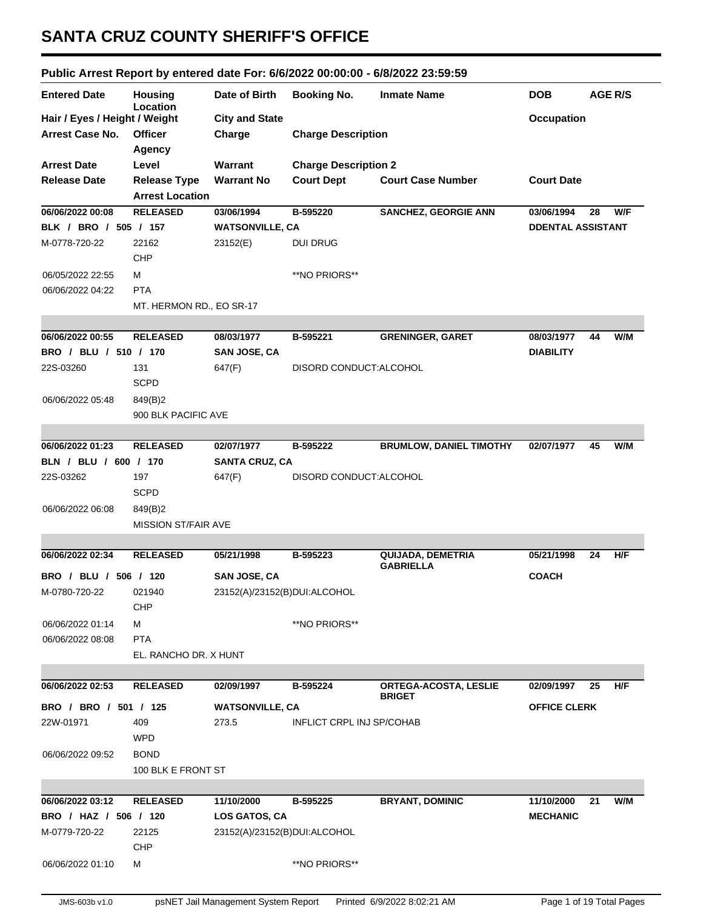## **SANTA CRUZ COUNTY SHERIFF'S OFFICE**

## **Public Arrest Report by entered date For: 6/6/2022 00:00:00 - 6/8/2022 23:59:59**

| <b>Entered Date</b>           | <b>Housing</b>             | Date of Birth                | <b>Booking No.</b>          | <b>Inmate Name</b>                    | <b>DOB</b>               | <b>AGE R/S</b> |
|-------------------------------|----------------------------|------------------------------|-----------------------------|---------------------------------------|--------------------------|----------------|
| Hair / Eyes / Height / Weight | Location                   | <b>City and State</b>        |                             |                                       | <b>Occupation</b>        |                |
| <b>Arrest Case No.</b>        | <b>Officer</b>             | Charge                       | <b>Charge Description</b>   |                                       |                          |                |
|                               | <b>Agency</b>              |                              |                             |                                       |                          |                |
| <b>Arrest Date</b>            | Level                      | Warrant                      | <b>Charge Description 2</b> |                                       |                          |                |
| <b>Release Date</b>           | <b>Release Type</b>        | <b>Warrant No</b>            | <b>Court Dept</b>           | <b>Court Case Number</b>              | <b>Court Date</b>        |                |
|                               | <b>Arrest Location</b>     |                              |                             |                                       |                          |                |
| 06/06/2022 00:08              | <b>RELEASED</b>            | 03/06/1994                   | B-595220                    | <b>SANCHEZ, GEORGIE ANN</b>           | 03/06/1994               | W/F<br>28      |
| BLK / BRO / 505 / 157         |                            | <b>WATSONVILLE, CA</b>       |                             |                                       | <b>DDENTAL ASSISTANT</b> |                |
| M-0778-720-22                 | 22162                      | 23152(E)                     | <b>DUI DRUG</b>             |                                       |                          |                |
|                               | <b>CHP</b>                 |                              |                             |                                       |                          |                |
|                               |                            |                              |                             |                                       |                          |                |
| 06/05/2022 22:55              | М                          |                              | **NO PRIORS**               |                                       |                          |                |
| 06/06/2022 04:22              | <b>PTA</b>                 |                              |                             |                                       |                          |                |
|                               | MT. HERMON RD., EO SR-17   |                              |                             |                                       |                          |                |
|                               |                            |                              |                             |                                       |                          |                |
| 06/06/2022 00:55              | <b>RELEASED</b>            | 08/03/1977                   | B-595221                    | <b>GRENINGER, GARET</b>               | 08/03/1977               | W/M<br>44      |
| BRO / BLU / 510 / 170         |                            | <b>SAN JOSE, CA</b>          |                             |                                       | <b>DIABILITY</b>         |                |
| 22S-03260                     | 131                        | 647(F)                       | DISORD CONDUCT: ALCOHOL     |                                       |                          |                |
|                               | <b>SCPD</b>                |                              |                             |                                       |                          |                |
| 06/06/2022 05:48              | 849(B)2                    |                              |                             |                                       |                          |                |
|                               | 900 BLK PACIFIC AVE        |                              |                             |                                       |                          |                |
|                               |                            |                              |                             |                                       |                          |                |
| 06/06/2022 01:23              | <b>RELEASED</b>            | 02/07/1977                   | B-595222                    | <b>BRUMLOW, DANIEL TIMOTHY</b>        | 02/07/1977               | W/M<br>45      |
| BLN / BLU / 600 / 170         |                            | <b>SANTA CRUZ, CA</b>        |                             |                                       |                          |                |
| 22S-03262                     | 197                        | 647(F)                       | DISORD CONDUCT: ALCOHOL     |                                       |                          |                |
|                               | <b>SCPD</b>                |                              |                             |                                       |                          |                |
| 06/06/2022 06:08              | 849(B)2                    |                              |                             |                                       |                          |                |
|                               | <b>MISSION ST/FAIR AVE</b> |                              |                             |                                       |                          |                |
|                               |                            |                              |                             |                                       |                          |                |
| 06/06/2022 02:34              | <b>RELEASED</b>            | 05/21/1998                   | B-595223                    | QUIJADA, DEMETRIA<br><b>GABRIELLA</b> | 05/21/1998               | H/F<br>24      |
| BRO / BLU / 506 / 120         |                            | <b>SAN JOSE, CA</b>          |                             |                                       | <b>COACH</b>             |                |
| M-0780-720-22                 | 021940                     | 23152(A)/23152(B)DUI:ALCOHOL |                             |                                       |                          |                |
|                               | <b>CHP</b>                 |                              |                             |                                       |                          |                |
| 06/06/2022 01:14              | М                          |                              | **NO PRIORS**               |                                       |                          |                |
| 06/06/2022 08:08              | <b>PTA</b>                 |                              |                             |                                       |                          |                |
|                               | EL. RANCHO DR. X HUNT      |                              |                             |                                       |                          |                |
|                               |                            |                              |                             |                                       |                          |                |
| 06/06/2022 02:53              | <b>RELEASED</b>            | 02/09/1997                   | B-595224                    | ORTEGA-ACOSTA, LESLIE                 | 02/09/1997               | H/F<br>25      |
| BRO / BRO / 501 / 125         |                            | <b>WATSONVILLE, CA</b>       |                             | <b>BRIGET</b>                         | <b>OFFICE CLERK</b>      |                |
|                               |                            | 273.5                        | INFLICT CRPL INJ SP/COHAB   |                                       |                          |                |
| 22W-01971                     | 409                        |                              |                             |                                       |                          |                |
|                               | <b>WPD</b>                 |                              |                             |                                       |                          |                |
| 06/06/2022 09:52              | <b>BOND</b>                |                              |                             |                                       |                          |                |
|                               | 100 BLK E FRONT ST         |                              |                             |                                       |                          |                |
|                               |                            |                              |                             |                                       |                          |                |
| 06/06/2022 03:12              | <b>RELEASED</b>            | 11/10/2000                   | B-595225                    | <b>BRYANT, DOMINIC</b>                | 11/10/2000               | W/M<br>21      |
| BRO / HAZ / 506 / 120         |                            | LOS GATOS, CA                |                             |                                       | <b>MECHANIC</b>          |                |
| M-0779-720-22                 | 22125                      | 23152(A)/23152(B)DUI:ALCOHOL |                             |                                       |                          |                |
|                               | <b>CHP</b>                 |                              |                             |                                       |                          |                |
| 06/06/2022 01:10              | М                          |                              | **NO PRIORS**               |                                       |                          |                |
|                               |                            |                              |                             |                                       |                          |                |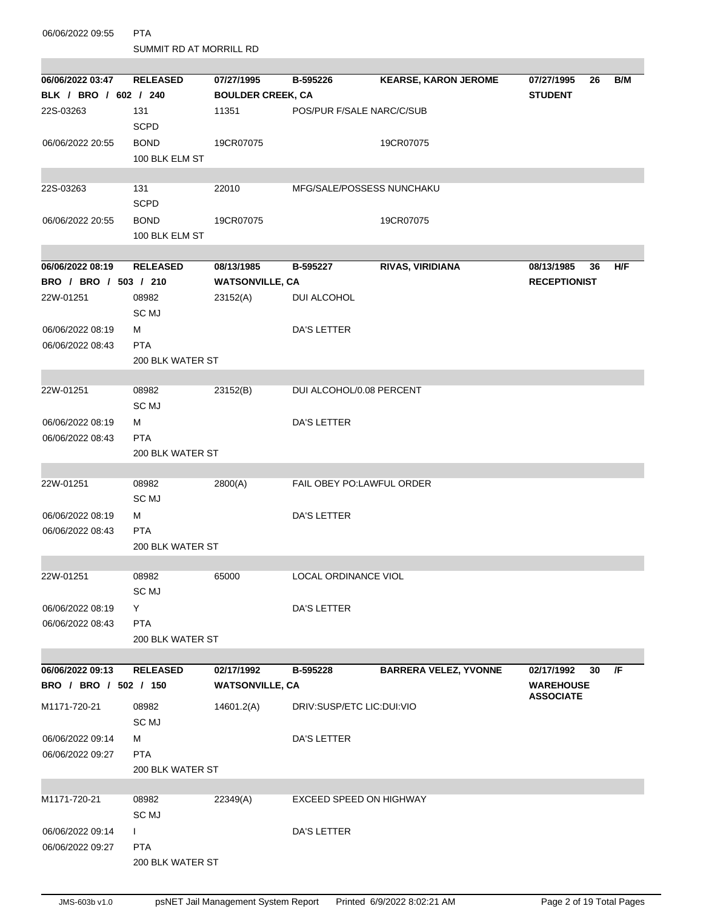| 06/06/2022 09:55                     | <b>PTA</b>              |                          |                                |                              |                                      |    |     |  |  |  |  |
|--------------------------------------|-------------------------|--------------------------|--------------------------------|------------------------------|--------------------------------------|----|-----|--|--|--|--|
|                                      | SUMMIT RD AT MORRILL RD |                          |                                |                              |                                      |    |     |  |  |  |  |
| 06/06/2022 03:47                     | <b>RELEASED</b>         | 07/27/1995               | B-595226                       |                              | 07/27/1995                           | 26 | B/M |  |  |  |  |
| BLK / BRO / 602 / 240                |                         | <b>BOULDER CREEK, CA</b> |                                | <b>KEARSE, KARON JEROME</b>  | <b>STUDENT</b>                       |    |     |  |  |  |  |
| 22S-03263                            | 131                     | 11351                    | POS/PUR F/SALE NARC/C/SUB      |                              |                                      |    |     |  |  |  |  |
|                                      | <b>SCPD</b>             |                          |                                |                              |                                      |    |     |  |  |  |  |
| 06/06/2022 20:55                     | <b>BOND</b>             | 19CR07075                |                                | 19CR07075                    |                                      |    |     |  |  |  |  |
|                                      | 100 BLK ELM ST          |                          |                                |                              |                                      |    |     |  |  |  |  |
|                                      |                         |                          |                                |                              |                                      |    |     |  |  |  |  |
| 22S-03263                            | 131                     | 22010                    | MFG/SALE/POSSESS NUNCHAKU      |                              |                                      |    |     |  |  |  |  |
|                                      | <b>SCPD</b>             |                          |                                |                              |                                      |    |     |  |  |  |  |
| 06/06/2022 20:55                     | <b>BOND</b>             | 19CR07075                |                                | 19CR07075                    |                                      |    |     |  |  |  |  |
|                                      | 100 BLK ELM ST          |                          |                                |                              |                                      |    |     |  |  |  |  |
|                                      |                         |                          |                                |                              |                                      |    |     |  |  |  |  |
| 06/06/2022 08:19                     | <b>RELEASED</b>         | 08/13/1985               | B-595227                       | RIVAS, VIRIDIANA             | 08/13/1985                           | 36 | H/F |  |  |  |  |
| BRO / BRO / 503 / 210                |                         | <b>WATSONVILLE, CA</b>   |                                |                              | <b>RECEPTIONIST</b>                  |    |     |  |  |  |  |
| 22W-01251                            | 08982<br>SC MJ          | 23152(A)                 | DUI ALCOHOL                    |                              |                                      |    |     |  |  |  |  |
| 06/06/2022 08:19                     | м                       |                          | DA'S LETTER                    |                              |                                      |    |     |  |  |  |  |
| 06/06/2022 08:43                     | <b>PTA</b>              |                          |                                |                              |                                      |    |     |  |  |  |  |
|                                      | 200 BLK WATER ST        |                          |                                |                              |                                      |    |     |  |  |  |  |
|                                      |                         |                          |                                |                              |                                      |    |     |  |  |  |  |
| 22W-01251                            | 08982                   | 23152(B)                 | DUI ALCOHOL/0.08 PERCENT       |                              |                                      |    |     |  |  |  |  |
|                                      | SC MJ                   |                          |                                |                              |                                      |    |     |  |  |  |  |
| 06/06/2022 08:19                     | м                       |                          | DA'S LETTER                    |                              |                                      |    |     |  |  |  |  |
| 06/06/2022 08:43                     | <b>PTA</b>              |                          |                                |                              |                                      |    |     |  |  |  |  |
|                                      | 200 BLK WATER ST        |                          |                                |                              |                                      |    |     |  |  |  |  |
|                                      |                         |                          |                                |                              |                                      |    |     |  |  |  |  |
| 22W-01251                            | 08982                   | 2800(A)                  | FAIL OBEY PO:LAWFUL ORDER      |                              |                                      |    |     |  |  |  |  |
|                                      | SC MJ                   |                          |                                |                              |                                      |    |     |  |  |  |  |
| 06/06/2022 08:19<br>06/06/2022 08:43 | м<br><b>PTA</b>         |                          | <b>DA'S LETTER</b>             |                              |                                      |    |     |  |  |  |  |
|                                      | 200 BLK WATER ST        |                          |                                |                              |                                      |    |     |  |  |  |  |
|                                      |                         |                          |                                |                              |                                      |    |     |  |  |  |  |
| 22W-01251                            | 08982                   | 65000                    | LOCAL ORDINANCE VIOL           |                              |                                      |    |     |  |  |  |  |
|                                      | SC MJ                   |                          |                                |                              |                                      |    |     |  |  |  |  |
| 06/06/2022 08:19                     | Y                       |                          | <b>DA'S LETTER</b>             |                              |                                      |    |     |  |  |  |  |
| 06/06/2022 08:43                     | <b>PTA</b>              |                          |                                |                              |                                      |    |     |  |  |  |  |
|                                      | 200 BLK WATER ST        |                          |                                |                              |                                      |    |     |  |  |  |  |
|                                      |                         |                          |                                |                              |                                      |    |     |  |  |  |  |
| 06/06/2022 09:13                     | <b>RELEASED</b>         | 02/17/1992               | B-595228                       | <b>BARRERA VELEZ, YVONNE</b> | 02/17/1992                           | 30 | /F  |  |  |  |  |
| BRO / BRO / 502 / 150                |                         | <b>WATSONVILLE, CA</b>   |                                |                              | <b>WAREHOUSE</b><br><b>ASSOCIATE</b> |    |     |  |  |  |  |
| M1171-720-21                         | 08982                   | 14601.2(A)               | DRIV:SUSP/ETC LIC:DUI:VIO      |                              |                                      |    |     |  |  |  |  |
|                                      | SC MJ                   |                          |                                |                              |                                      |    |     |  |  |  |  |
| 06/06/2022 09:14                     | м                       |                          | DA'S LETTER                    |                              |                                      |    |     |  |  |  |  |
| 06/06/2022 09:27                     | <b>PTA</b>              |                          |                                |                              |                                      |    |     |  |  |  |  |
|                                      | 200 BLK WATER ST        |                          |                                |                              |                                      |    |     |  |  |  |  |
| M1171-720-21                         | 08982                   | 22349(A)                 | <b>EXCEED SPEED ON HIGHWAY</b> |                              |                                      |    |     |  |  |  |  |
|                                      | SC MJ                   |                          |                                |                              |                                      |    |     |  |  |  |  |
| 06/06/2022 09:14                     | $\mathbf{I}$            |                          | DA'S LETTER                    |                              |                                      |    |     |  |  |  |  |
| 06/06/2022 09:27                     | <b>PTA</b>              |                          |                                |                              |                                      |    |     |  |  |  |  |
|                                      | 200 BLK WATER ST        |                          |                                |                              |                                      |    |     |  |  |  |  |
|                                      |                         |                          |                                |                              |                                      |    |     |  |  |  |  |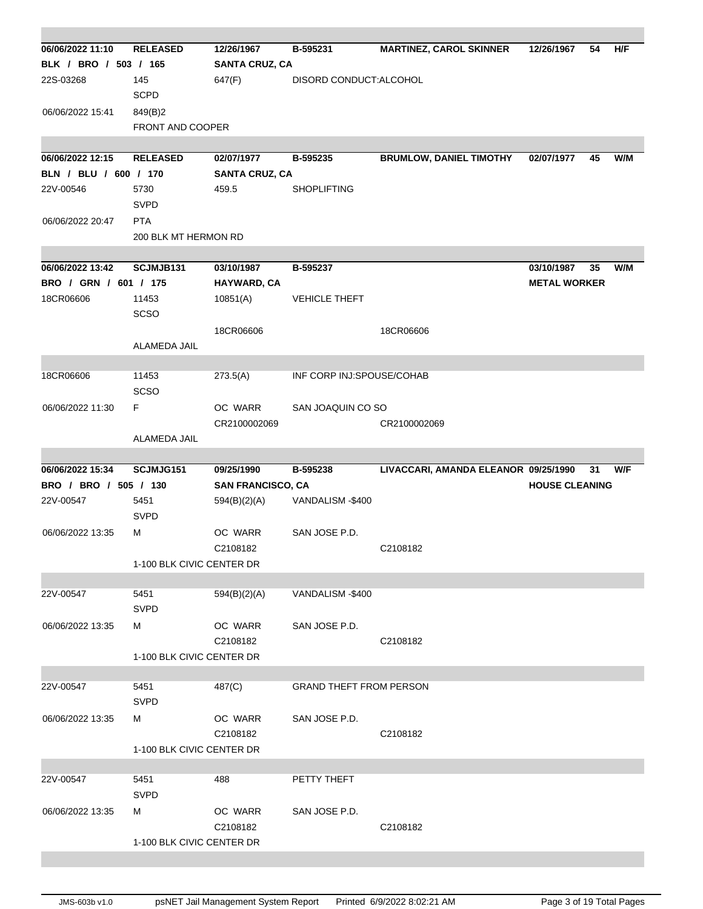| 06/06/2022 11:10                          | <b>RELEASED</b>           | 12/26/1967                             | B-595231                       | <b>MARTINEZ, CAROL SKINNER</b>       | 12/26/1967            | 54 | H/F |
|-------------------------------------------|---------------------------|----------------------------------------|--------------------------------|--------------------------------------|-----------------------|----|-----|
| BLK / BRO / 503 / 165                     |                           | <b>SANTA CRUZ, CA</b>                  |                                |                                      |                       |    |     |
| 22S-03268                                 | 145                       | 647(F)                                 | DISORD CONDUCT: ALCOHOL        |                                      |                       |    |     |
|                                           | <b>SCPD</b>               |                                        |                                |                                      |                       |    |     |
| 06/06/2022 15:41                          | 849(B)2                   |                                        |                                |                                      |                       |    |     |
|                                           | FRONT AND COOPER          |                                        |                                |                                      |                       |    |     |
|                                           |                           |                                        |                                |                                      |                       |    |     |
| 06/06/2022 12:15                          | <b>RELEASED</b>           | 02/07/1977                             | B-595235                       | <b>BRUMLOW, DANIEL TIMOTHY</b>       | 02/07/1977            | 45 | W/M |
| BLN / BLU / 600 / 170                     |                           | <b>SANTA CRUZ, CA</b>                  |                                |                                      |                       |    |     |
| 22V-00546                                 | 5730                      | 459.5                                  | <b>SHOPLIFTING</b>             |                                      |                       |    |     |
|                                           | <b>SVPD</b>               |                                        |                                |                                      |                       |    |     |
| 06/06/2022 20:47                          | <b>PTA</b>                |                                        |                                |                                      |                       |    |     |
|                                           | 200 BLK MT HERMON RD      |                                        |                                |                                      |                       |    |     |
|                                           |                           |                                        |                                |                                      |                       |    |     |
| 06/06/2022 13:42                          | SCJMJB131                 | 03/10/1987                             | B-595237                       |                                      | 03/10/1987            | 35 | W/M |
| BRO / GRN / 601 / 175                     |                           | HAYWARD, CA                            |                                |                                      | <b>METAL WORKER</b>   |    |     |
| 18CR06606                                 | 11453<br><b>SCSO</b>      | 10851(A)                               | <b>VEHICLE THEFT</b>           |                                      |                       |    |     |
|                                           |                           | 18CR06606                              |                                | 18CR06606                            |                       |    |     |
|                                           | ALAMEDA JAIL              |                                        |                                |                                      |                       |    |     |
|                                           |                           |                                        |                                |                                      |                       |    |     |
| 18CR06606                                 | 11453                     | 273.5(A)                               | INF CORP INJ:SPOUSE/COHAB      |                                      |                       |    |     |
|                                           | <b>SCSO</b>               |                                        |                                |                                      |                       |    |     |
| 06/06/2022 11:30                          | F                         | OC WARR                                | SAN JOAQUIN CO SO              |                                      |                       |    |     |
|                                           |                           | CR2100002069                           |                                | CR2100002069                         |                       |    |     |
|                                           | ALAMEDA JAIL              |                                        |                                |                                      |                       |    |     |
|                                           |                           |                                        |                                |                                      |                       |    |     |
| 06/06/2022 15:34<br>BRO / BRO / 505 / 130 | SCJMJG151                 | 09/25/1990<br><b>SAN FRANCISCO, CA</b> | B-595238                       | LIVACCARI, AMANDA ELEANOR 09/25/1990 | <b>HOUSE CLEANING</b> | 31 | W/F |
| 22V-00547                                 | 5451                      |                                        | VANDALISM-\$400                |                                      |                       |    |     |
|                                           | <b>SVPD</b>               | 594(B)(2)(A)                           |                                |                                      |                       |    |     |
| 06/06/2022 13:35                          | М                         | OC WARR                                | SAN JOSE P.D.                  |                                      |                       |    |     |
|                                           |                           | C2108182                               |                                | C2108182                             |                       |    |     |
|                                           | 1-100 BLK CIVIC CENTER DR |                                        |                                |                                      |                       |    |     |
|                                           |                           |                                        |                                |                                      |                       |    |     |
| 22V-00547                                 | 5451                      | 594(B)(2)(A)                           | VANDALISM-\$400                |                                      |                       |    |     |
|                                           | <b>SVPD</b>               |                                        |                                |                                      |                       |    |     |
| 06/06/2022 13:35                          | м                         | OC WARR                                | SAN JOSE P.D.                  |                                      |                       |    |     |
|                                           |                           | C2108182                               |                                | C2108182                             |                       |    |     |
|                                           | 1-100 BLK CIVIC CENTER DR |                                        |                                |                                      |                       |    |     |
|                                           |                           |                                        |                                |                                      |                       |    |     |
| 22V-00547                                 | 5451                      | 487(C)                                 | <b>GRAND THEFT FROM PERSON</b> |                                      |                       |    |     |
|                                           | <b>SVPD</b>               |                                        |                                |                                      |                       |    |     |
| 06/06/2022 13:35                          | м                         | OC WARR                                | SAN JOSE P.D.                  |                                      |                       |    |     |
|                                           |                           | C2108182                               |                                | C2108182                             |                       |    |     |
|                                           | 1-100 BLK CIVIC CENTER DR |                                        |                                |                                      |                       |    |     |
|                                           |                           |                                        |                                |                                      |                       |    |     |
| 22V-00547                                 | 5451                      | 488                                    | PETTY THEFT                    |                                      |                       |    |     |
|                                           | <b>SVPD</b>               |                                        |                                |                                      |                       |    |     |
| 06/06/2022 13:35                          | м                         | OC WARR                                | SAN JOSE P.D.                  |                                      |                       |    |     |
|                                           | 1-100 BLK CIVIC CENTER DR | C2108182                               |                                | C2108182                             |                       |    |     |
|                                           |                           |                                        |                                |                                      |                       |    |     |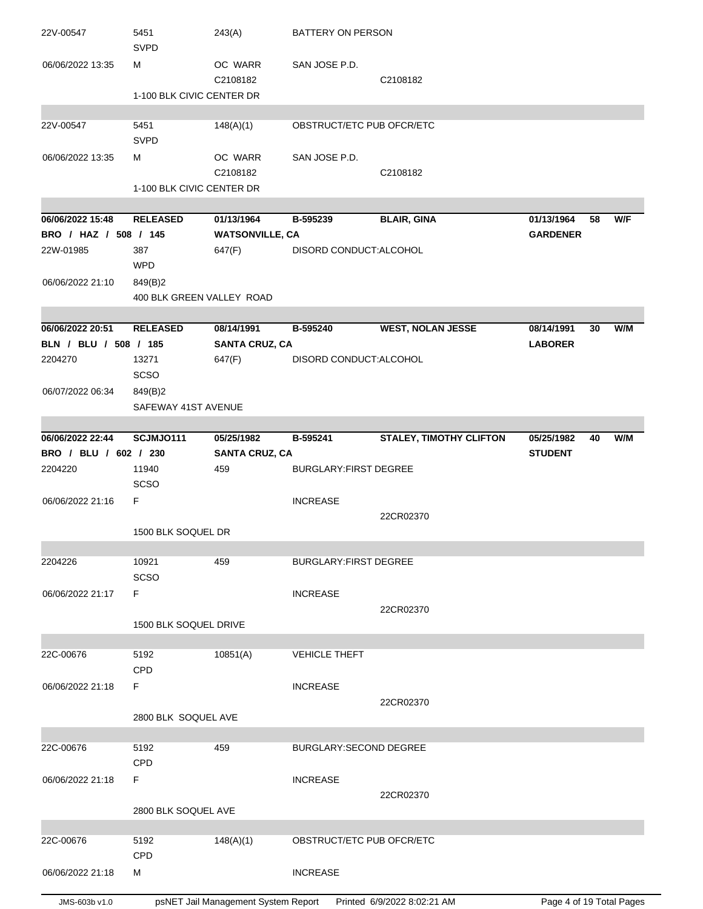| 22V-00547             | 5451<br><b>SVPD</b>       | 243(A)                 | BATTERY ON PERSON            |                                |                 |    |     |
|-----------------------|---------------------------|------------------------|------------------------------|--------------------------------|-----------------|----|-----|
| 06/06/2022 13:35      | м                         | OC WARR<br>C2108182    | SAN JOSE P.D.                | C2108182                       |                 |    |     |
|                       | 1-100 BLK CIVIC CENTER DR |                        |                              |                                |                 |    |     |
| 22V-00547             | 5451                      | 148(A)(1)              | OBSTRUCT/ETC PUB OFCR/ETC    |                                |                 |    |     |
|                       | <b>SVPD</b>               |                        |                              |                                |                 |    |     |
| 06/06/2022 13:35      | М                         | OC WARR                | SAN JOSE P.D.                |                                |                 |    |     |
|                       |                           | C2108182               |                              | C2108182                       |                 |    |     |
|                       | 1-100 BLK CIVIC CENTER DR |                        |                              |                                |                 |    |     |
| 06/06/2022 15:48      | <b>RELEASED</b>           | 01/13/1964             | B-595239                     | <b>BLAIR, GINA</b>             | 01/13/1964      | 58 | W/F |
| BRO / HAZ / 508 / 145 |                           | <b>WATSONVILLE, CA</b> |                              |                                | <b>GARDENER</b> |    |     |
| 22W-01985             | 387                       | 647(F)                 | DISORD CONDUCT: ALCOHOL      |                                |                 |    |     |
|                       | <b>WPD</b>                |                        |                              |                                |                 |    |     |
| 06/06/2022 21:10      | 849(B)2                   |                        |                              |                                |                 |    |     |
|                       | 400 BLK GREEN VALLEY ROAD |                        |                              |                                |                 |    |     |
|                       |                           |                        |                              |                                |                 |    |     |
| 06/06/2022 20:51      | <b>RELEASED</b>           | 08/14/1991             | B-595240                     | <b>WEST, NOLAN JESSE</b>       | 08/14/1991      | 30 | W/M |
| BLN / BLU / 508 / 185 |                           | <b>SANTA CRUZ, CA</b>  |                              |                                | <b>LABORER</b>  |    |     |
| 2204270               | 13271<br>SCSO             | 647(F)                 | DISORD CONDUCT: ALCOHOL      |                                |                 |    |     |
| 06/07/2022 06:34      | 849(B)2                   |                        |                              |                                |                 |    |     |
|                       | SAFEWAY 41ST AVENUE       |                        |                              |                                |                 |    |     |
|                       |                           |                        |                              |                                |                 |    |     |
| 06/06/2022 22:44      | <b>SCJMJ0111</b>          | 05/25/1982             | B-595241                     | <b>STALEY, TIMOTHY CLIFTON</b> | 05/25/1982      | 40 | W/M |
| BRO / BLU / 602 / 230 |                           | <b>SANTA CRUZ, CA</b>  |                              |                                | <b>STUDENT</b>  |    |     |
| 2204220               | 11940<br>SCSO             | 459                    | <b>BURGLARY:FIRST DEGREE</b> |                                |                 |    |     |
| 06/06/2022 21:16      | F.                        |                        | <b>INCREASE</b>              |                                |                 |    |     |
|                       | 1500 BLK SOQUEL DR        |                        |                              | 22CR02370                      |                 |    |     |
|                       |                           |                        |                              |                                |                 |    |     |
| 2204226               | 10921                     | 459                    | <b>BURGLARY FIRST DEGREE</b> |                                |                 |    |     |
|                       | <b>SCSO</b>               |                        |                              |                                |                 |    |     |
| 06/06/2022 21:17      | F.                        |                        | <b>INCREASE</b>              |                                |                 |    |     |
|                       |                           |                        |                              | 22CR02370                      |                 |    |     |
|                       | 1500 BLK SOQUEL DRIVE     |                        |                              |                                |                 |    |     |
| 22C-00676             | 5192                      | 10851(A)               | <b>VEHICLE THEFT</b>         |                                |                 |    |     |
|                       | CPD                       |                        |                              |                                |                 |    |     |
| 06/06/2022 21:18      | F                         |                        | <b>INCREASE</b>              |                                |                 |    |     |
|                       |                           |                        |                              | 22CR02370                      |                 |    |     |
|                       | 2800 BLK SOQUEL AVE       |                        |                              |                                |                 |    |     |
|                       |                           |                        |                              |                                |                 |    |     |
| 22C-00676             | 5192<br>CPD               | 459                    | BURGLARY: SECOND DEGREE      |                                |                 |    |     |
| 06/06/2022 21:18      | F.                        |                        | <b>INCREASE</b>              |                                |                 |    |     |
|                       |                           |                        |                              | 22CR02370                      |                 |    |     |
|                       | 2800 BLK SOQUEL AVE       |                        |                              |                                |                 |    |     |
|                       |                           |                        |                              |                                |                 |    |     |
| 22C-00676             | 5192                      | 148(A)(1)              | OBSTRUCT/ETC PUB OFCR/ETC    |                                |                 |    |     |
|                       | CPD                       |                        |                              |                                |                 |    |     |
| 06/06/2022 21:18      | M                         |                        | <b>INCREASE</b>              |                                |                 |    |     |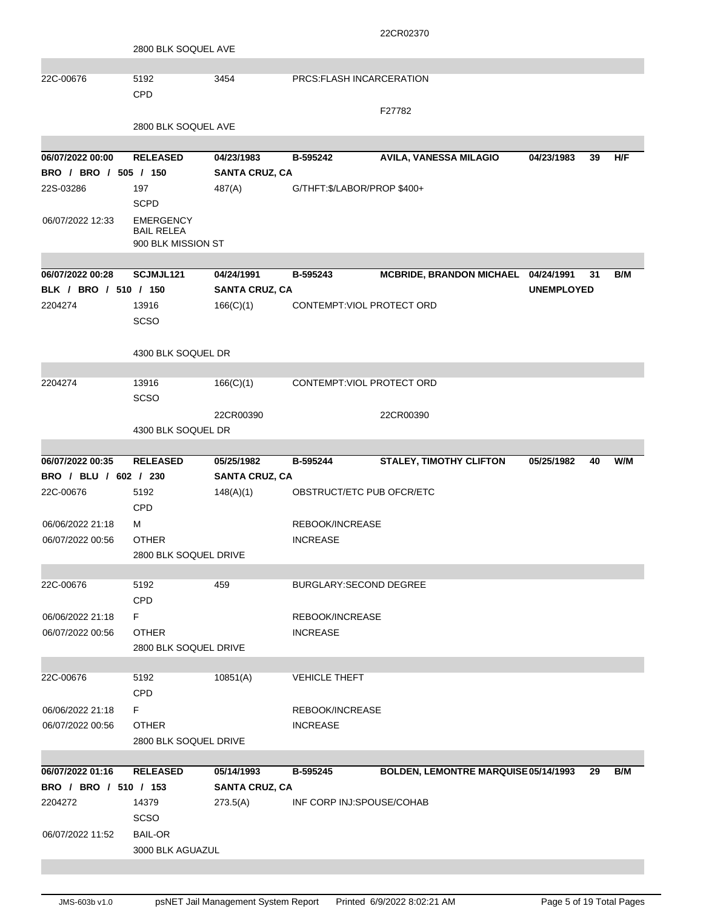|                       |                                                             |                       |                             | 22CR02370                            |                   |     |
|-----------------------|-------------------------------------------------------------|-----------------------|-----------------------------|--------------------------------------|-------------------|-----|
|                       | 2800 BLK SOQUEL AVE                                         |                       |                             |                                      |                   |     |
|                       |                                                             |                       |                             |                                      |                   |     |
| 22C-00676             | 5192                                                        | 3454                  | PRCS: FLASH INCARCERATION   |                                      |                   |     |
|                       | CPD                                                         |                       |                             |                                      |                   |     |
|                       |                                                             |                       |                             | F27782                               |                   |     |
|                       | 2800 BLK SOQUEL AVE                                         |                       |                             |                                      |                   |     |
|                       |                                                             |                       |                             |                                      |                   |     |
| 06/07/2022 00:00      | <b>RELEASED</b>                                             | 04/23/1983            | B-595242                    | AVILA, VANESSA MILAGIO               | 04/23/1983<br>39  | H/F |
| BRO / BRO / 505 / 150 |                                                             | <b>SANTA CRUZ, CA</b> |                             |                                      |                   |     |
| 22S-03286             | 197                                                         | 487(A)                | G/THFT:\$/LABOR/PROP \$400+ |                                      |                   |     |
|                       | <b>SCPD</b>                                                 |                       |                             |                                      |                   |     |
| 06/07/2022 12:33      | <b>EMERGENCY</b><br><b>BAIL RELEA</b><br>900 BLK MISSION ST |                       |                             |                                      |                   |     |
|                       |                                                             |                       |                             |                                      |                   |     |
| 06/07/2022 00:28      | SCJMJL121                                                   | 04/24/1991            | B-595243                    | <b>MCBRIDE, BRANDON MICHAEL</b>      | 04/24/1991<br>31  | B/M |
| BLK / BRO / 510 / 150 |                                                             | <b>SANTA CRUZ, CA</b> |                             |                                      | <b>UNEMPLOYED</b> |     |
| 2204274               | 13916                                                       | 166(C)(1)             | CONTEMPT: VIOL PROTECT ORD  |                                      |                   |     |
|                       | <b>SCSO</b>                                                 |                       |                             |                                      |                   |     |
|                       |                                                             |                       |                             |                                      |                   |     |
|                       | 4300 BLK SOQUEL DR                                          |                       |                             |                                      |                   |     |
|                       |                                                             |                       |                             |                                      |                   |     |
| 2204274               | 13916                                                       | 166(C)(1)             | CONTEMPT: VIOL PROTECT ORD  |                                      |                   |     |
|                       | SCSO                                                        |                       |                             |                                      |                   |     |
|                       |                                                             | 22CR00390             |                             | 22CR00390                            |                   |     |
|                       | 4300 BLK SOQUEL DR                                          |                       |                             |                                      |                   |     |
| 06/07/2022 00:35      | <b>RELEASED</b>                                             |                       | B-595244                    |                                      |                   |     |
| BRO / BLU / 602 / 230 |                                                             | 05/25/1982            |                             | <b>STALEY, TIMOTHY CLIFTON</b>       | 05/25/1982<br>40  | W/M |
|                       |                                                             | <b>SANTA CRUZ, CA</b> |                             |                                      |                   |     |
| 22C-00676             | 5192<br>CPD                                                 | 148(A)(1)             | OBSTRUCT/ETC PUB OFCR/ETC   |                                      |                   |     |
| 06/06/2022 21:18      | м                                                           |                       | REBOOK/INCREASE             |                                      |                   |     |
| 06/07/2022 00:56      | <b>OTHER</b>                                                |                       | <b>INCREASE</b>             |                                      |                   |     |
|                       | 2800 BLK SOQUEL DRIVE                                       |                       |                             |                                      |                   |     |
|                       |                                                             |                       |                             |                                      |                   |     |
| 22C-00676             | 5192<br><b>CPD</b>                                          | 459                   | BURGLARY: SECOND DEGREE     |                                      |                   |     |
| 06/06/2022 21:18      | F.                                                          |                       | REBOOK/INCREASE             |                                      |                   |     |
| 06/07/2022 00:56      | <b>OTHER</b>                                                |                       | <b>INCREASE</b>             |                                      |                   |     |
|                       | 2800 BLK SOQUEL DRIVE                                       |                       |                             |                                      |                   |     |
|                       |                                                             |                       |                             |                                      |                   |     |
| 22C-00676             | 5192                                                        | 10851(A)              | <b>VEHICLE THEFT</b>        |                                      |                   |     |
|                       | <b>CPD</b>                                                  |                       |                             |                                      |                   |     |
| 06/06/2022 21:18      | F.                                                          |                       | REBOOK/INCREASE             |                                      |                   |     |
| 06/07/2022 00:56      | <b>OTHER</b>                                                |                       | <b>INCREASE</b>             |                                      |                   |     |
|                       | 2800 BLK SOQUEL DRIVE                                       |                       |                             |                                      |                   |     |
|                       |                                                             |                       |                             |                                      |                   |     |
| 06/07/2022 01:16      | <b>RELEASED</b>                                             | 05/14/1993            | B-595245                    | BOLDEN, LEMONTRE MARQUISE 05/14/1993 | 29                | B/M |
| BRO / BRO / 510 / 153 |                                                             | <b>SANTA CRUZ, CA</b> |                             |                                      |                   |     |
| 2204272               | 14379                                                       | 273.5(A)              | INF CORP INJ:SPOUSE/COHAB   |                                      |                   |     |
|                       | <b>SCSO</b>                                                 |                       |                             |                                      |                   |     |
| 06/07/2022 11:52      | <b>BAIL-OR</b>                                              |                       |                             |                                      |                   |     |
|                       | 3000 BLK AGUAZUL                                            |                       |                             |                                      |                   |     |
|                       |                                                             |                       |                             |                                      |                   |     |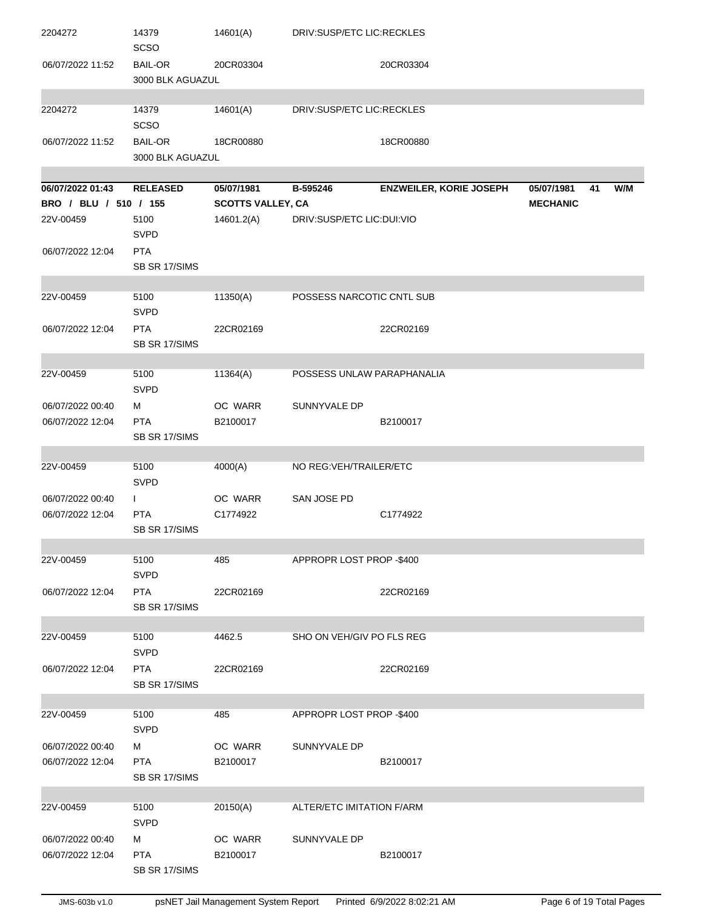| 2204272                              | 14379<br>SCSO                               | 14601(A)                 | DRIV:SUSP/ETC LIC:RECKLES  |                                |                 |    |     |
|--------------------------------------|---------------------------------------------|--------------------------|----------------------------|--------------------------------|-----------------|----|-----|
| 06/07/2022 11:52                     | <b>BAIL-OR</b><br>3000 BLK AGUAZUL          | 20CR03304                |                            | 20CR03304                      |                 |    |     |
| 2204272                              | 14379<br>SCSO                               | 14601(A)                 | DRIV:SUSP/ETC LIC:RECKLES  |                                |                 |    |     |
| 06/07/2022 11:52                     | <b>BAIL-OR</b><br>3000 BLK AGUAZUL          | 18CR00880                |                            | 18CR00880                      |                 |    |     |
| 06/07/2022 01:43                     | <b>RELEASED</b>                             | 05/07/1981               | B-595246                   | <b>ENZWEILER, KORIE JOSEPH</b> | 05/07/1981      | 41 | W/M |
| BRO / BLU / 510 / 155                |                                             | <b>SCOTTS VALLEY, CA</b> |                            |                                | <b>MECHANIC</b> |    |     |
| 22V-00459                            | 5100<br><b>SVPD</b>                         | 14601.2(A)               | DRIV:SUSP/ETC LIC:DUI:VIO  |                                |                 |    |     |
| 06/07/2022 12:04                     | <b>PTA</b><br>SB SR 17/SIMS                 |                          |                            |                                |                 |    |     |
| 22V-00459                            | 5100<br><b>SVPD</b>                         | 11350(A)                 | POSSESS NARCOTIC CNTL SUB  |                                |                 |    |     |
| 06/07/2022 12:04                     | <b>PTA</b><br>SB SR 17/SIMS                 | 22CR02169                |                            | 22CR02169                      |                 |    |     |
| 22V-00459                            | 5100<br><b>SVPD</b>                         | 11364(A)                 | POSSESS UNLAW PARAPHANALIA |                                |                 |    |     |
| 06/07/2022 00:40                     | м                                           | OC WARR                  | SUNNYVALE DP               |                                |                 |    |     |
| 06/07/2022 12:04                     | <b>PTA</b><br>SB SR 17/SIMS                 | B2100017                 |                            | B2100017                       |                 |    |     |
|                                      |                                             |                          |                            |                                |                 |    |     |
| 22V-00459                            | 5100<br><b>SVPD</b>                         | 4000(A)                  | NO REG: VEH/TRAILER/ETC    |                                |                 |    |     |
| 06/07/2022 00:40<br>06/07/2022 12:04 | $\mathbf{L}$<br><b>PTA</b><br>SB SR 17/SIMS | OC WARR<br>C1774922      | SAN JOSE PD                | C1774922                       |                 |    |     |
| 22V-00459                            | 5100<br><b>SVPD</b>                         | 485                      | APPROPR LOST PROP -\$400   |                                |                 |    |     |
| 06/07/2022 12:04                     | <b>PTA</b><br>SB SR 17/SIMS                 | 22CR02169                |                            | 22CR02169                      |                 |    |     |
| 22V-00459                            | 5100                                        | 4462.5                   | SHO ON VEH/GIV PO FLS REG  |                                |                 |    |     |
|                                      | <b>SVPD</b>                                 |                          |                            |                                |                 |    |     |
| 06/07/2022 12:04                     | <b>PTA</b><br>SB SR 17/SIMS                 | 22CR02169                |                            | 22CR02169                      |                 |    |     |
| 22V-00459                            | 5100<br><b>SVPD</b>                         | 485                      | APPROPR LOST PROP -\$400   |                                |                 |    |     |
| 06/07/2022 00:40<br>06/07/2022 12:04 | м<br><b>PTA</b>                             | OC WARR<br>B2100017      | SUNNYVALE DP               | B2100017                       |                 |    |     |
|                                      | SB SR 17/SIMS                               |                          |                            |                                |                 |    |     |
| 22V-00459                            | 5100<br><b>SVPD</b>                         | 20150(A)                 | ALTER/ETC IMITATION F/ARM  |                                |                 |    |     |
| 06/07/2022 00:40                     | м                                           | OC WARR                  | SUNNYVALE DP               |                                |                 |    |     |
| 06/07/2022 12:04                     | <b>PTA</b><br>SB SR 17/SIMS                 | B2100017                 |                            | B2100017                       |                 |    |     |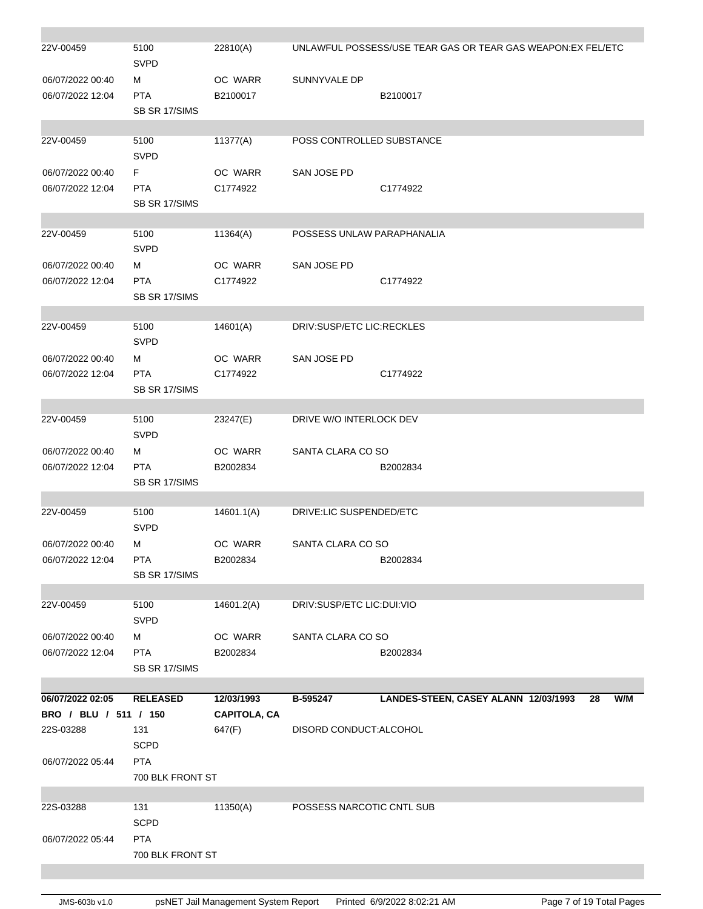| 22V-00459                            | 5100<br><b>SVPD</b>              | 22810(A)            |                            | UNLAWFUL POSSESS/USE TEAR GAS OR TEAR GAS WEAPON:EX FEL/ETC |
|--------------------------------------|----------------------------------|---------------------|----------------------------|-------------------------------------------------------------|
| 06/07/2022 00:40<br>06/07/2022 12:04 | м<br><b>PTA</b><br>SB SR 17/SIMS | OC WARR<br>B2100017 | SUNNYVALE DP               | B2100017                                                    |
|                                      |                                  |                     |                            |                                                             |
| 22V-00459                            | 5100<br><b>SVPD</b>              | 11377(A)            | POSS CONTROLLED SUBSTANCE  |                                                             |
| 06/07/2022 00:40                     | F.                               | OC WARR             | SAN JOSE PD                |                                                             |
| 06/07/2022 12:04                     | <b>PTA</b><br>SB SR 17/SIMS      | C1774922            |                            | C1774922                                                    |
| 22V-00459                            | 5100                             | 11364(A)            | POSSESS UNLAW PARAPHANALIA |                                                             |
|                                      | <b>SVPD</b>                      |                     |                            |                                                             |
| 06/07/2022 00:40                     | М                                | OC WARR             | SAN JOSE PD                |                                                             |
| 06/07/2022 12:04                     | <b>PTA</b><br>SB SR 17/SIMS      | C1774922            |                            | C1774922                                                    |
|                                      |                                  |                     |                            |                                                             |
| 22V-00459                            | 5100<br><b>SVPD</b>              | 14601(A)            | DRIV:SUSP/ETC LIC:RECKLES  |                                                             |
| 06/07/2022 00:40                     | м                                | OC WARR             | SAN JOSE PD                |                                                             |
| 06/07/2022 12:04                     | <b>PTA</b><br>SB SR 17/SIMS      | C1774922            |                            | C1774922                                                    |
|                                      |                                  |                     |                            |                                                             |
| 22V-00459                            | 5100<br><b>SVPD</b>              | 23247(E)            | DRIVE W/O INTERLOCK DEV    |                                                             |
| 06/07/2022 00:40                     | м                                | OC WARR             | SANTA CLARA CO SO          |                                                             |
| 06/07/2022 12:04                     | <b>PTA</b><br>SB SR 17/SIMS      | B2002834            |                            | B2002834                                                    |
| 22V-00459                            | 5100<br><b>SVPD</b>              | 14601.1(A)          | DRIVE:LIC SUSPENDED/ETC    |                                                             |
| 06/07/2022 00:40                     | М                                | OC WARR             | SANTA CLARA CO SO          |                                                             |
| 06/07/2022 12:04                     | <b>PTA</b>                       | B2002834            |                            | B2002834                                                    |
|                                      | SB SR 17/SIMS                    |                     |                            |                                                             |
| 22V-00459                            | 5100<br><b>SVPD</b>              | 14601.2(A)          | DRIV:SUSP/ETC LIC:DUI:VIO  |                                                             |
| 06/07/2022 00:40                     | м                                | OC WARR             | SANTA CLARA CO SO          |                                                             |
| 06/07/2022 12:04                     | <b>PTA</b>                       | B2002834            |                            | B2002834                                                    |
|                                      | SB SR 17/SIMS                    |                     |                            |                                                             |
| 06/07/2022 02:05                     | <b>RELEASED</b>                  | 12/03/1993          | B-595247                   | LANDES-STEEN, CASEY ALANN 12/03/1993<br>W/M<br>28           |
| BRO / BLU / 511 / 150                |                                  | <b>CAPITOLA, CA</b> |                            |                                                             |
| 22S-03288                            | 131                              | 647(F)              | DISORD CONDUCT: ALCOHOL    |                                                             |
|                                      | <b>SCPD</b>                      |                     |                            |                                                             |
| 06/07/2022 05:44                     | <b>PTA</b>                       |                     |                            |                                                             |
|                                      | 700 BLK FRONT ST                 |                     |                            |                                                             |
|                                      |                                  |                     |                            |                                                             |
| 22S-03288                            | 131                              | 11350(A)            | POSSESS NARCOTIC CNTL SUB  |                                                             |
|                                      | <b>SCPD</b>                      |                     |                            |                                                             |
| 06/07/2022 05:44                     | <b>PTA</b>                       |                     |                            |                                                             |
|                                      | 700 BLK FRONT ST                 |                     |                            |                                                             |
|                                      |                                  |                     |                            |                                                             |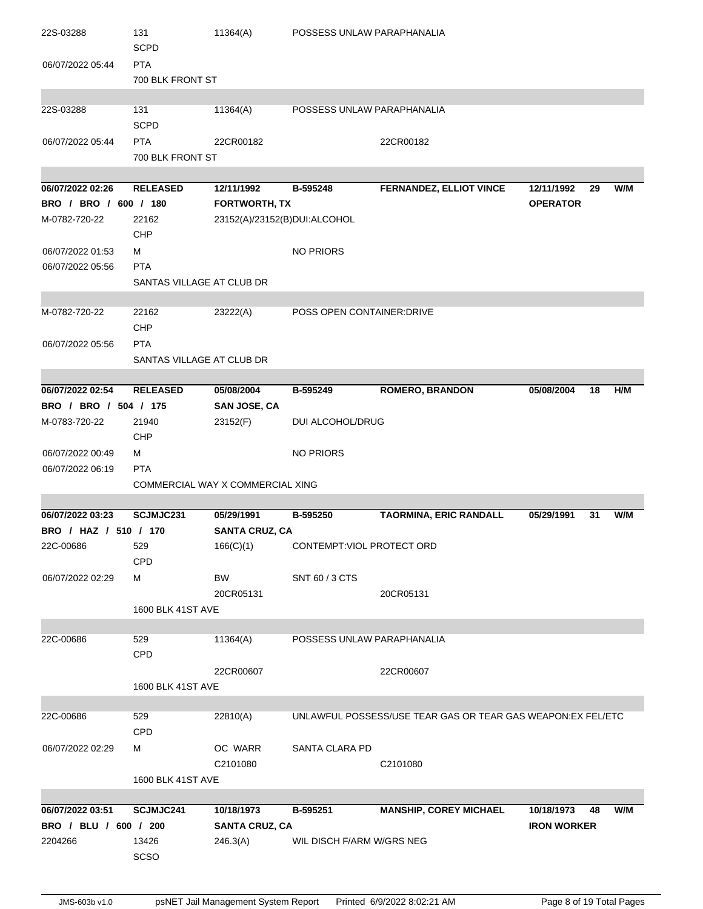| 22S-03288                              | 131<br><b>SCPD</b>             | 11364(A)                         | POSSESS UNLAW PARAPHANALIA       |                                                             |                    |    |     |
|----------------------------------------|--------------------------------|----------------------------------|----------------------------------|-------------------------------------------------------------|--------------------|----|-----|
| 06/07/2022 05:44                       | <b>PTA</b><br>700 BLK FRONT ST |                                  |                                  |                                                             |                    |    |     |
|                                        |                                |                                  |                                  |                                                             |                    |    |     |
| 22S-03288                              | 131<br><b>SCPD</b>             | 11364(A)                         | POSSESS UNLAW PARAPHANALIA       |                                                             |                    |    |     |
| 06/07/2022 05:44                       | <b>PTA</b><br>700 BLK FRONT ST | 22CR00182                        |                                  | 22CR00182                                                   |                    |    |     |
|                                        |                                |                                  |                                  |                                                             |                    |    |     |
| 06/07/2022 02:26                       | <b>RELEASED</b>                | 12/11/1992                       | B-595248                         | <b>FERNANDEZ, ELLIOT VINCE</b>                              | 12/11/1992         | 29 | W/M |
| BRO / BRO / 600 / 180                  |                                | <b>FORTWORTH, TX</b>             |                                  |                                                             | <b>OPERATOR</b>    |    |     |
| M-0782-720-22                          | 22162<br>CHP                   | 23152(A)/23152(B)DUI:ALCOHOL     |                                  |                                                             |                    |    |     |
| 06/07/2022 01:53<br>06/07/2022 05:56   | M<br><b>PTA</b>                |                                  | NO PRIORS                        |                                                             |                    |    |     |
|                                        | SANTAS VILLAGE AT CLUB DR      |                                  |                                  |                                                             |                    |    |     |
|                                        |                                |                                  |                                  |                                                             |                    |    |     |
| M-0782-720-22                          | 22162<br><b>CHP</b>            | 23222(A)                         | POSS OPEN CONTAINER: DRIVE       |                                                             |                    |    |     |
| 06/07/2022 05:56                       | <b>PTA</b>                     |                                  |                                  |                                                             |                    |    |     |
|                                        | SANTAS VILLAGE AT CLUB DR      |                                  |                                  |                                                             |                    |    |     |
|                                        |                                |                                  |                                  |                                                             |                    |    |     |
| 06/07/2022 02:54                       | <b>RELEASED</b>                | 05/08/2004                       | B-595249                         | <b>ROMERO, BRANDON</b>                                      | 05/08/2004         | 18 | H/M |
| BRO / BRO / 504 / 175<br>M-0783-720-22 | 21940                          | <b>SAN JOSE, CA</b>              | DUI ALCOHOL/DRUG                 |                                                             |                    |    |     |
|                                        | CHP                            | 23152(F)                         |                                  |                                                             |                    |    |     |
| 06/07/2022 00:49                       | м                              |                                  | <b>NO PRIORS</b>                 |                                                             |                    |    |     |
| 06/07/2022 06:19                       | <b>PTA</b>                     |                                  |                                  |                                                             |                    |    |     |
|                                        |                                | COMMERCIAL WAY X COMMERCIAL XING |                                  |                                                             |                    |    |     |
| 06/07/2022 03:23                       | SCJMJC231                      | 05/29/1991                       | B-595250                         | <b>TAORMINA, ERIC RANDALL</b>                               | 05/29/1991         | 31 | W/M |
| BRO / HAZ / 510 / 170                  |                                | <b>SANTA CRUZ, CA</b>            |                                  |                                                             |                    |    |     |
| 22C-00686                              | 529                            | 166(C)(1)                        | <b>CONTEMPT:VIOL PROTECT ORD</b> |                                                             |                    |    |     |
|                                        | <b>CPD</b>                     |                                  |                                  |                                                             |                    |    |     |
| 06/07/2022 02:29                       | м                              | BW<br>20CR05131                  | SNT 60 / 3 CTS                   | 20CR05131                                                   |                    |    |     |
|                                        | <b>1600 BLK 41ST AVE</b>       |                                  |                                  |                                                             |                    |    |     |
| 22C-00686                              | 529                            | 11364(A)                         | POSSESS UNLAW PARAPHANALIA       |                                                             |                    |    |     |
|                                        | CPD                            |                                  |                                  |                                                             |                    |    |     |
|                                        |                                | 22CR00607                        |                                  | 22CR00607                                                   |                    |    |     |
|                                        | 1600 BLK 41ST AVE              |                                  |                                  |                                                             |                    |    |     |
| 22C-00686                              | 529                            | 22810(A)                         |                                  | UNLAWFUL POSSESS/USE TEAR GAS OR TEAR GAS WEAPON:EX FEL/ETC |                    |    |     |
|                                        | CPD                            |                                  |                                  |                                                             |                    |    |     |
| 06/07/2022 02:29                       | м                              | OC WARR                          | SANTA CLARA PD                   |                                                             |                    |    |     |
|                                        | 1600 BLK 41ST AVE              | C2101080                         |                                  | C2101080                                                    |                    |    |     |
|                                        |                                |                                  |                                  |                                                             |                    |    |     |
| 06/07/2022 03:51                       | SCJMJC241                      | 10/18/1973                       | B-595251                         | <b>MANSHIP, COREY MICHAEL</b>                               | 10/18/1973         | 48 | W/M |
| BRO / BLU / 600 / 200                  |                                | <b>SANTA CRUZ, CA</b>            |                                  |                                                             | <b>IRON WORKER</b> |    |     |
| 2204266                                |                                |                                  |                                  |                                                             |                    |    |     |
|                                        | 13426                          | 246.3(A)                         | WIL DISCH F/ARM W/GRS NEG        |                                                             |                    |    |     |
|                                        | <b>SCSO</b>                    |                                  |                                  |                                                             |                    |    |     |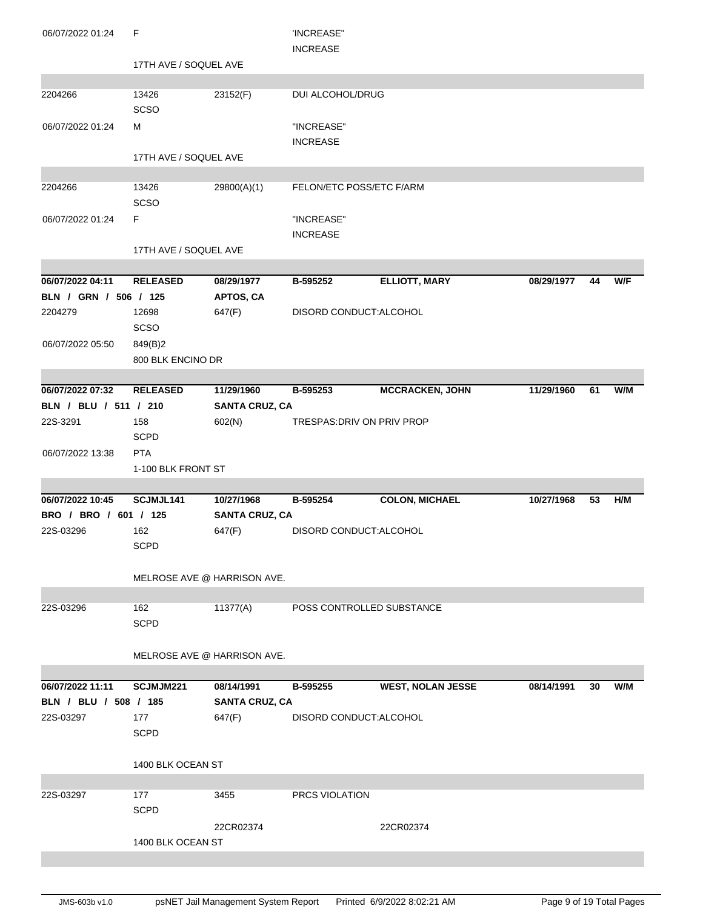| 06/07/2022 01:24                 | F                     |                             | 'INCREASE"                    |                          |            |    |     |
|----------------------------------|-----------------------|-----------------------------|-------------------------------|--------------------------|------------|----|-----|
|                                  | 17TH AVE / SOQUEL AVE |                             | <b>INCREASE</b>               |                          |            |    |     |
|                                  |                       |                             |                               |                          |            |    |     |
| 2204266                          | 13426<br>SCSO         | 23152(F)                    | DUI ALCOHOL/DRUG              |                          |            |    |     |
| 06/07/2022 01:24                 | M                     |                             | "INCREASE"<br><b>INCREASE</b> |                          |            |    |     |
|                                  | 17TH AVE / SOQUEL AVE |                             |                               |                          |            |    |     |
|                                  |                       |                             |                               |                          |            |    |     |
| 2204266                          | 13426<br>SCSO         | 29800(A)(1)                 | FELON/ETC POSS/ETC F/ARM      |                          |            |    |     |
| 06/07/2022 01:24                 | F                     |                             | "INCREASE"<br><b>INCREASE</b> |                          |            |    |     |
|                                  | 17TH AVE / SOQUEL AVE |                             |                               |                          |            |    |     |
|                                  |                       |                             |                               |                          |            |    |     |
| 06/07/2022 04:11                 | <b>RELEASED</b>       | 08/29/1977                  | B-595252                      | <b>ELLIOTT, MARY</b>     | 08/29/1977 | 44 | W/F |
| BLN / GRN / 506 / 125<br>2204279 | 12698                 | APTOS, CA<br>647(F)         | DISORD CONDUCT:ALCOHOL        |                          |            |    |     |
|                                  | <b>SCSO</b>           |                             |                               |                          |            |    |     |
| 06/07/2022 05:50                 | 849(B)2               |                             |                               |                          |            |    |     |
|                                  | 800 BLK ENCINO DR     |                             |                               |                          |            |    |     |
|                                  |                       |                             |                               |                          |            |    |     |
| 06/07/2022 07:32                 | <b>RELEASED</b>       | 11/29/1960                  | B-595253                      | <b>MCCRACKEN, JOHN</b>   | 11/29/1960 | 61 | W/M |
| BLN / BLU / 511 / 210            |                       | <b>SANTA CRUZ, CA</b>       |                               |                          |            |    |     |
| 22S-3291                         | 158                   | 602(N)                      | TRESPAS: DRIV ON PRIV PROP    |                          |            |    |     |
|                                  | <b>SCPD</b>           |                             |                               |                          |            |    |     |
| 06/07/2022 13:38                 | <b>PTA</b>            |                             |                               |                          |            |    |     |
|                                  | 1-100 BLK FRONT ST    |                             |                               |                          |            |    |     |
| 06/07/2022 10:45                 | SCJMJL141             | 10/27/1968                  | B-595254                      | <b>COLON, MICHAEL</b>    | 10/27/1968 | 53 | H/M |
| BRO / BRO / 601 / 125            |                       | <b>SANTA CRUZ, CA</b>       |                               |                          |            |    |     |
| 22S-03296                        | 162                   | 647(F)                      | DISORD CONDUCT: ALCOHOL       |                          |            |    |     |
|                                  | <b>SCPD</b>           |                             |                               |                          |            |    |     |
|                                  |                       | MELROSE AVE @ HARRISON AVE. |                               |                          |            |    |     |
| 22S-03296                        | 162                   |                             |                               |                          |            |    |     |
|                                  | <b>SCPD</b>           | 11377(A)                    | POSS CONTROLLED SUBSTANCE     |                          |            |    |     |
|                                  |                       | MELROSE AVE @ HARRISON AVE. |                               |                          |            |    |     |
| 06/07/2022 11:11                 | SCJMJM221             | 08/14/1991                  | B-595255                      | <b>WEST, NOLAN JESSE</b> | 08/14/1991 | 30 | W/M |
| BLN / BLU / 508 / 185            |                       | <b>SANTA CRUZ, CA</b>       |                               |                          |            |    |     |
| 22S-03297                        | 177                   | 647(F)                      | DISORD CONDUCT: ALCOHOL       |                          |            |    |     |
|                                  | <b>SCPD</b>           |                             |                               |                          |            |    |     |
|                                  | 1400 BLK OCEAN ST     |                             |                               |                          |            |    |     |
| 22S-03297                        | 177                   | 3455                        | <b>PRCS VIOLATION</b>         |                          |            |    |     |
|                                  | <b>SCPD</b>           |                             |                               |                          |            |    |     |
|                                  |                       |                             |                               |                          |            |    |     |
|                                  |                       |                             |                               |                          |            |    |     |
|                                  | 1400 BLK OCEAN ST     | 22CR02374                   |                               | 22CR02374                |            |    |     |
|                                  |                       |                             |                               |                          |            |    |     |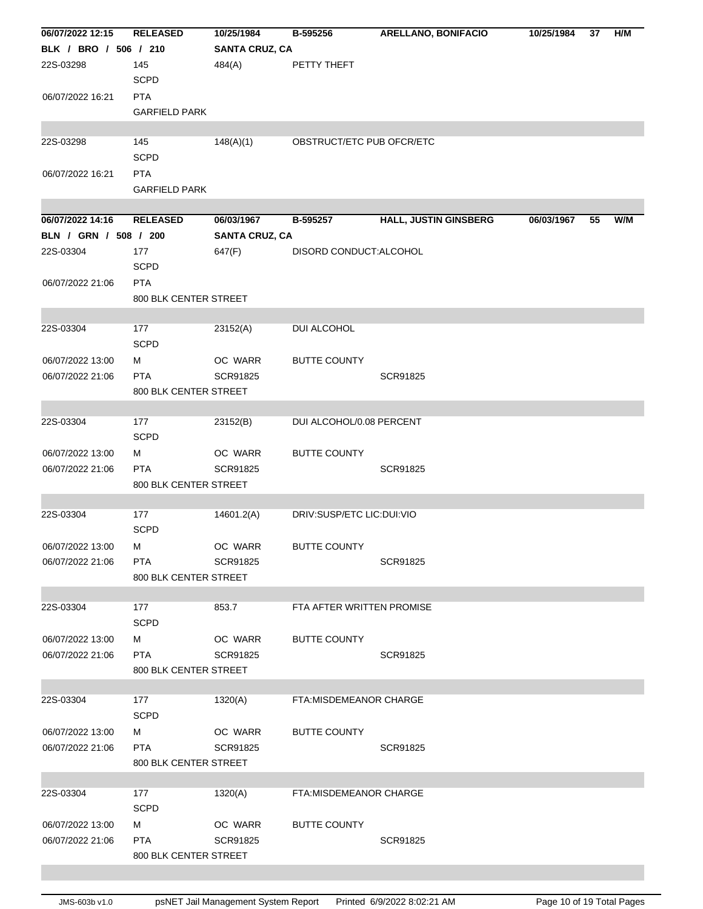| 06/07/2022 12:15      | <b>RELEASED</b>       | 10/25/1984            | B-595256                  | <b>ARELLANO, BONIFACIO</b>   | 10/25/1984 | 37 | H/M |
|-----------------------|-----------------------|-----------------------|---------------------------|------------------------------|------------|----|-----|
| BLK / BRO / 506 / 210 |                       | <b>SANTA CRUZ, CA</b> |                           |                              |            |    |     |
| 22S-03298             | 145                   | 484(A)                | PETTY THEFT               |                              |            |    |     |
|                       | <b>SCPD</b>           |                       |                           |                              |            |    |     |
| 06/07/2022 16:21      | <b>PTA</b>            |                       |                           |                              |            |    |     |
|                       | <b>GARFIELD PARK</b>  |                       |                           |                              |            |    |     |
|                       |                       |                       |                           |                              |            |    |     |
| 22S-03298             | 145                   | 148(A)(1)             | OBSTRUCT/ETC PUB OFCR/ETC |                              |            |    |     |
|                       | <b>SCPD</b>           |                       |                           |                              |            |    |     |
| 06/07/2022 16:21      | <b>PTA</b>            |                       |                           |                              |            |    |     |
|                       | <b>GARFIELD PARK</b>  |                       |                           |                              |            |    |     |
|                       |                       |                       |                           |                              |            |    |     |
| 06/07/2022 14:16      | <b>RELEASED</b>       | 06/03/1967            | B-595257                  | <b>HALL, JUSTIN GINSBERG</b> | 06/03/1967 | 55 | W/M |
| BLN / GRN / 508 / 200 |                       | <b>SANTA CRUZ, CA</b> |                           |                              |            |    |     |
| 22S-03304             | 177                   | 647(F)                | DISORD CONDUCT:ALCOHOL    |                              |            |    |     |
|                       | <b>SCPD</b>           |                       |                           |                              |            |    |     |
| 06/07/2022 21:06      | <b>PTA</b>            |                       |                           |                              |            |    |     |
|                       | 800 BLK CENTER STREET |                       |                           |                              |            |    |     |
|                       |                       |                       |                           |                              |            |    |     |
| 22S-03304             | 177                   | 23152(A)              | DUI ALCOHOL               |                              |            |    |     |
|                       | <b>SCPD</b>           |                       |                           |                              |            |    |     |
| 06/07/2022 13:00      | м                     | OC WARR               | <b>BUTTE COUNTY</b>       |                              |            |    |     |
| 06/07/2022 21:06      | <b>PTA</b>            | SCR91825              |                           | SCR91825                     |            |    |     |
|                       | 800 BLK CENTER STREET |                       |                           |                              |            |    |     |
|                       |                       |                       |                           |                              |            |    |     |
| 22S-03304             | 177                   | 23152(B)              | DUI ALCOHOL/0.08 PERCENT  |                              |            |    |     |
|                       | <b>SCPD</b>           |                       |                           |                              |            |    |     |
| 06/07/2022 13:00      | м                     | OC WARR               | <b>BUTTE COUNTY</b>       |                              |            |    |     |
| 06/07/2022 21:06      | <b>PTA</b>            | SCR91825              |                           | SCR91825                     |            |    |     |
|                       | 800 BLK CENTER STREET |                       |                           |                              |            |    |     |
|                       |                       |                       |                           |                              |            |    |     |
| 22S-03304             | 177                   | 14601.2(A)            | DRIV:SUSP/ETC LIC:DUI:VIO |                              |            |    |     |
|                       | <b>SCPD</b>           |                       |                           |                              |            |    |     |
| 06/07/2022 13:00      | м                     | OC WARR               | <b>BUTTE COUNTY</b>       |                              |            |    |     |
| 06/07/2022 21:06      | <b>PTA</b>            | SCR91825              |                           | SCR91825                     |            |    |     |
|                       | 800 BLK CENTER STREET |                       |                           |                              |            |    |     |
|                       |                       |                       |                           |                              |            |    |     |
| 22S-03304             | 177                   | 853.7                 | FTA AFTER WRITTEN PROMISE |                              |            |    |     |
|                       | <b>SCPD</b>           |                       |                           |                              |            |    |     |
| 06/07/2022 13:00      | м                     | OC WARR               | <b>BUTTE COUNTY</b>       |                              |            |    |     |
| 06/07/2022 21:06      | <b>PTA</b>            | SCR91825              |                           | SCR91825                     |            |    |     |
|                       | 800 BLK CENTER STREET |                       |                           |                              |            |    |     |
|                       |                       |                       |                           |                              |            |    |     |
| 22S-03304             | 177                   | 1320(A)               | FTA: MISDEMEANOR CHARGE   |                              |            |    |     |
|                       | <b>SCPD</b>           |                       |                           |                              |            |    |     |
| 06/07/2022 13:00      | м                     | OC WARR               | <b>BUTTE COUNTY</b>       |                              |            |    |     |
| 06/07/2022 21:06      | <b>PTA</b>            | SCR91825              |                           | SCR91825                     |            |    |     |
|                       | 800 BLK CENTER STREET |                       |                           |                              |            |    |     |
|                       |                       |                       |                           |                              |            |    |     |
| 22S-03304             | 177                   | 1320(A)               | FTA: MISDEMEANOR CHARGE   |                              |            |    |     |
|                       | <b>SCPD</b>           |                       |                           |                              |            |    |     |
| 06/07/2022 13:00      | м                     | OC WARR               | <b>BUTTE COUNTY</b>       |                              |            |    |     |
| 06/07/2022 21:06      | <b>PTA</b>            | SCR91825              |                           | SCR91825                     |            |    |     |
|                       | 800 BLK CENTER STREET |                       |                           |                              |            |    |     |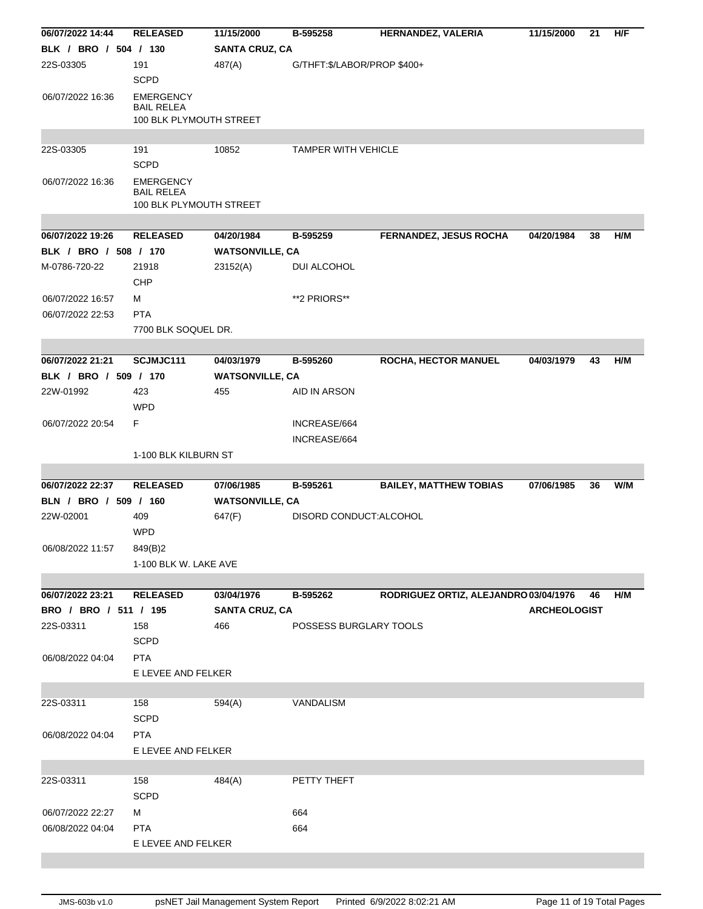| 06/07/2022 14:44      | <b>RELEASED</b>                                                  | 11/15/2000             | B-595258                    | HERNANDEZ, VALERIA                    | 11/15/2000          | 21 | H/F |
|-----------------------|------------------------------------------------------------------|------------------------|-----------------------------|---------------------------------------|---------------------|----|-----|
| BLK / BRO / 504 / 130 |                                                                  | <b>SANTA CRUZ, CA</b>  |                             |                                       |                     |    |     |
| 22S-03305             | 191                                                              | 487(A)                 | G/THFT:\$/LABOR/PROP \$400+ |                                       |                     |    |     |
|                       | <b>SCPD</b>                                                      |                        |                             |                                       |                     |    |     |
| 06/07/2022 16:36      | <b>EMERGENCY</b><br><b>BAIL RELEA</b><br>100 BLK PLYMOUTH STREET |                        |                             |                                       |                     |    |     |
|                       |                                                                  |                        |                             |                                       |                     |    |     |
| 22S-03305             | 191                                                              | 10852                  | <b>TAMPER WITH VEHICLE</b>  |                                       |                     |    |     |
|                       | <b>SCPD</b>                                                      |                        |                             |                                       |                     |    |     |
| 06/07/2022 16:36      | <b>EMERGENCY</b><br><b>BAIL RELEA</b><br>100 BLK PLYMOUTH STREET |                        |                             |                                       |                     |    |     |
|                       |                                                                  |                        |                             |                                       |                     |    |     |
| 06/07/2022 19:26      | <b>RELEASED</b>                                                  | 04/20/1984             | B-595259                    | <b>FERNANDEZ, JESUS ROCHA</b>         | 04/20/1984          | 38 | H/M |
| BLK / BRO / 508 / 170 |                                                                  | <b>WATSONVILLE, CA</b> |                             |                                       |                     |    |     |
| M-0786-720-22         | 21918                                                            | 23152(A)               | DUI ALCOHOL                 |                                       |                     |    |     |
|                       | CHP                                                              |                        |                             |                                       |                     |    |     |
| 06/07/2022 16:57      | м                                                                |                        | **2 PRIORS**                |                                       |                     |    |     |
| 06/07/2022 22:53      | <b>PTA</b>                                                       |                        |                             |                                       |                     |    |     |
|                       |                                                                  |                        |                             |                                       |                     |    |     |
|                       | 7700 BLK SOQUEL DR.                                              |                        |                             |                                       |                     |    |     |
| 06/07/2022 21:21      | SCJMJC111                                                        | 04/03/1979             |                             |                                       |                     | 43 |     |
|                       |                                                                  |                        | B-595260                    | ROCHA, HECTOR MANUEL                  | 04/03/1979          |    | H/M |
| BLK / BRO / 509 / 170 |                                                                  | <b>WATSONVILLE, CA</b> |                             |                                       |                     |    |     |
| 22W-01992             | 423                                                              | 455                    | AID IN ARSON                |                                       |                     |    |     |
|                       | <b>WPD</b>                                                       |                        |                             |                                       |                     |    |     |
| 06/07/2022 20:54      | F.                                                               |                        | INCREASE/664                |                                       |                     |    |     |
|                       |                                                                  |                        | INCREASE/664                |                                       |                     |    |     |
|                       | 1-100 BLK KILBURN ST                                             |                        |                             |                                       |                     |    |     |
|                       |                                                                  |                        |                             |                                       |                     |    |     |
| 06/07/2022 22:37      | <b>RELEASED</b>                                                  | 07/06/1985             | B-595261                    | <b>BAILEY, MATTHEW TOBIAS</b>         | 07/06/1985          | 36 | W/M |
| BLN / BRO / 509 / 160 |                                                                  | <b>WATSONVILLE, CA</b> |                             |                                       |                     |    |     |
| 22W-02001             |                                                                  |                        |                             |                                       |                     |    |     |
|                       | 409                                                              | 647(F)                 | DISORD CONDUCT: ALCOHOL     |                                       |                     |    |     |
|                       | <b>WPD</b>                                                       |                        |                             |                                       |                     |    |     |
| 06/08/2022 11:57      | 849(B)2                                                          |                        |                             |                                       |                     |    |     |
|                       | 1-100 BLK W. LAKE AVE                                            |                        |                             |                                       |                     |    |     |
|                       |                                                                  |                        |                             |                                       |                     |    |     |
| 06/07/2022 23:21      | <b>RELEASED</b>                                                  | 03/04/1976             | B-595262                    | RODRIGUEZ ORTIZ, ALEJANDRO 03/04/1976 |                     | 46 | H/M |
| BRO / BRO / 511 / 195 |                                                                  | <b>SANTA CRUZ, CA</b>  |                             |                                       | <b>ARCHEOLOGIST</b> |    |     |
| 22S-03311             | 158                                                              | 466                    | POSSESS BURGLARY TOOLS      |                                       |                     |    |     |
|                       | <b>SCPD</b>                                                      |                        |                             |                                       |                     |    |     |
|                       |                                                                  |                        |                             |                                       |                     |    |     |
| 06/08/2022 04:04      | <b>PTA</b>                                                       |                        |                             |                                       |                     |    |     |
|                       | E LEVEE AND FELKER                                               |                        |                             |                                       |                     |    |     |
|                       |                                                                  |                        |                             |                                       |                     |    |     |
| 22S-03311             | 158                                                              | 594(A)                 | VANDALISM                   |                                       |                     |    |     |
|                       | <b>SCPD</b>                                                      |                        |                             |                                       |                     |    |     |
| 06/08/2022 04:04      | <b>PTA</b>                                                       |                        |                             |                                       |                     |    |     |
|                       | E LEVEE AND FELKER                                               |                        |                             |                                       |                     |    |     |
|                       |                                                                  |                        |                             |                                       |                     |    |     |
| 22S-03311             | 158                                                              | 484(A)                 | PETTY THEFT                 |                                       |                     |    |     |
|                       | <b>SCPD</b>                                                      |                        |                             |                                       |                     |    |     |
| 06/07/2022 22:27      | м                                                                |                        | 664                         |                                       |                     |    |     |
| 06/08/2022 04:04      | <b>PTA</b>                                                       |                        | 664                         |                                       |                     |    |     |
|                       | E LEVEE AND FELKER                                               |                        |                             |                                       |                     |    |     |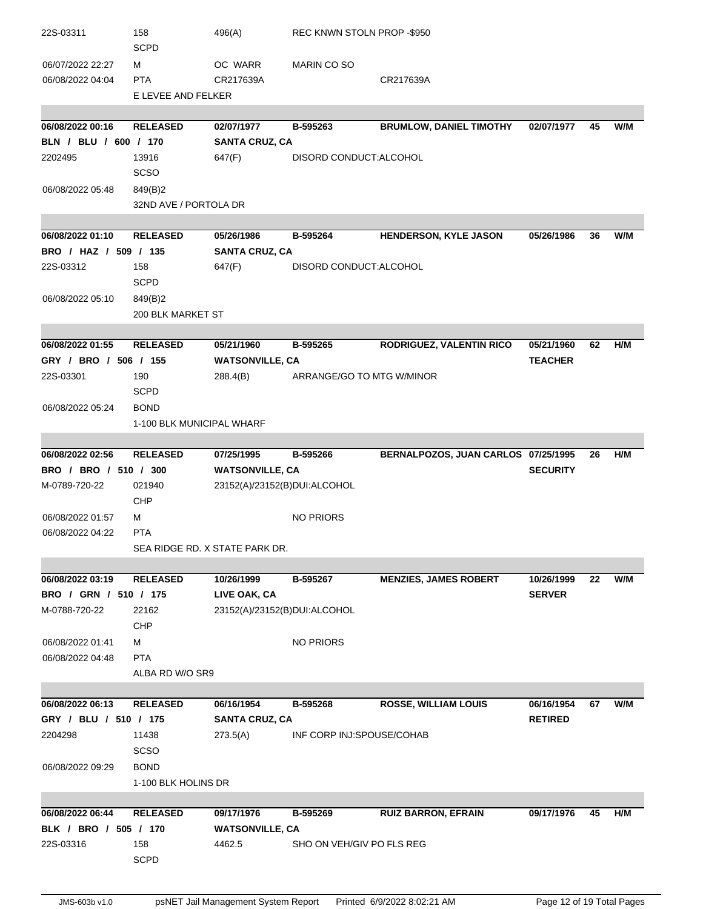| 22S-03311                                 | 158                       | 496(A)                         | REC KNWN STOLN PROP -\$950 |                                     |                 |    |     |
|-------------------------------------------|---------------------------|--------------------------------|----------------------------|-------------------------------------|-----------------|----|-----|
|                                           | <b>SCPD</b>               |                                |                            |                                     |                 |    |     |
| 06/07/2022 22:27                          | м                         | OC WARR                        | MARIN CO SO                |                                     |                 |    |     |
| 06/08/2022 04:04                          | <b>PTA</b>                | CR217639A                      |                            | CR217639A                           |                 |    |     |
|                                           | E LEVEE AND FELKER        |                                |                            |                                     |                 |    |     |
|                                           |                           |                                |                            |                                     |                 |    |     |
| 06/08/2022 00:16<br>BLN / BLU / 600 / 170 | <b>RELEASED</b>           | 02/07/1977                     | B-595263                   | <b>BRUMLOW, DANIEL TIMOTHY</b>      | 02/07/1977      | 45 | W/M |
|                                           |                           | <b>SANTA CRUZ, CA</b>          |                            |                                     |                 |    |     |
| 2202495                                   | 13916<br><b>SCSO</b>      | 647(F)                         | DISORD CONDUCT: ALCOHOL    |                                     |                 |    |     |
|                                           |                           |                                |                            |                                     |                 |    |     |
| 06/08/2022 05:48                          | 849(B)2                   |                                |                            |                                     |                 |    |     |
|                                           | 32ND AVE / PORTOLA DR     |                                |                            |                                     |                 |    |     |
| 06/08/2022 01:10                          | <b>RELEASED</b>           | 05/26/1986                     | B-595264                   | HENDERSON, KYLE JASON               | 05/26/1986      | 36 | W/M |
| BRO / HAZ / 509 / 135                     |                           | <b>SANTA CRUZ, CA</b>          |                            |                                     |                 |    |     |
| 22S-03312                                 | 158                       | 647(F)                         | DISORD CONDUCT: ALCOHOL    |                                     |                 |    |     |
|                                           | <b>SCPD</b>               |                                |                            |                                     |                 |    |     |
| 06/08/2022 05:10                          | 849(B)2                   |                                |                            |                                     |                 |    |     |
|                                           | <b>200 BLK MARKET ST</b>  |                                |                            |                                     |                 |    |     |
|                                           |                           |                                |                            |                                     |                 |    |     |
| 06/08/2022 01:55                          | <b>RELEASED</b>           | 05/21/1960                     | B-595265                   | RODRIGUEZ, VALENTIN RICO            | 05/21/1960      | 62 | H/M |
| GRY / BRO / 506 / 155                     |                           | <b>WATSONVILLE, CA</b>         |                            |                                     | <b>TEACHER</b>  |    |     |
| 22S-03301                                 | 190                       | 288.4(B)                       | ARRANGE/GO TO MTG W/MINOR  |                                     |                 |    |     |
|                                           | <b>SCPD</b>               |                                |                            |                                     |                 |    |     |
| 06/08/2022 05:24                          | <b>BOND</b>               |                                |                            |                                     |                 |    |     |
|                                           | 1-100 BLK MUNICIPAL WHARF |                                |                            |                                     |                 |    |     |
|                                           |                           |                                |                            |                                     |                 |    |     |
| 06/08/2022 02:56                          | <b>RELEASED</b>           | 07/25/1995                     | B-595266                   | BERNALPOZOS, JUAN CARLOS 07/25/1995 |                 | 26 | H/M |
| BRO / BRO / 510 / 300                     |                           | <b>WATSONVILLE, CA</b>         |                            |                                     | <b>SECURITY</b> |    |     |
| M-0789-720-22                             | 021940                    | 23152(A)/23152(B)DUI:ALCOHOL   |                            |                                     |                 |    |     |
|                                           | CHP                       |                                |                            |                                     |                 |    |     |
| 06/08/2022 01:57                          | м                         |                                | <b>NO PRIORS</b>           |                                     |                 |    |     |
| 06/08/2022 04:22                          | <b>PTA</b>                |                                |                            |                                     |                 |    |     |
|                                           |                           | SEA RIDGE RD. X STATE PARK DR. |                            |                                     |                 |    |     |
|                                           |                           |                                |                            |                                     |                 |    |     |
| 06/08/2022 03:19                          | <b>RELEASED</b>           | 10/26/1999                     | B-595267                   | <b>MENZIES, JAMES ROBERT</b>        | 10/26/1999      | 22 | W/M |
| BRO / GRN / 510 / 175                     |                           | LIVE OAK, CA                   |                            |                                     | <b>SERVER</b>   |    |     |
| M-0788-720-22                             | 22162                     | 23152(A)/23152(B)DUI:ALCOHOL   |                            |                                     |                 |    |     |
|                                           | <b>CHP</b>                |                                |                            |                                     |                 |    |     |
| 06/08/2022 01:41                          | м                         |                                | <b>NO PRIORS</b>           |                                     |                 |    |     |
| 06/08/2022 04:48                          | <b>PTA</b>                |                                |                            |                                     |                 |    |     |
|                                           | ALBA RD W/O SR9           |                                |                            |                                     |                 |    |     |
|                                           |                           |                                |                            |                                     |                 |    |     |
| 06/08/2022 06:13                          | <b>RELEASED</b>           | 06/16/1954                     | B-595268                   | <b>ROSSE, WILLIAM LOUIS</b>         | 06/16/1954      | 67 | W/M |
| GRY / BLU / 510 / 175                     |                           | <b>SANTA CRUZ, CA</b>          |                            |                                     | <b>RETIRED</b>  |    |     |
| 2204298                                   | 11438                     | 273.5(A)                       | INF CORP INJ:SPOUSE/COHAB  |                                     |                 |    |     |
|                                           | <b>SCSO</b>               |                                |                            |                                     |                 |    |     |
| 06/08/2022 09:29                          | <b>BOND</b>               |                                |                            |                                     |                 |    |     |
|                                           | 1-100 BLK HOLINS DR       |                                |                            |                                     |                 |    |     |
|                                           |                           |                                |                            |                                     |                 |    |     |
| 06/08/2022 06:44                          | <b>RELEASED</b>           | 09/17/1976                     | B-595269                   | <b>RUIZ BARRON, EFRAIN</b>          | 09/17/1976      | 45 | H/M |
| BLK / BRO / 505 / 170                     |                           | <b>WATSONVILLE, CA</b>         |                            |                                     |                 |    |     |
| 22S-03316                                 | 158                       | 4462.5                         | SHO ON VEH/GIV PO FLS REG  |                                     |                 |    |     |
|                                           | <b>SCPD</b>               |                                |                            |                                     |                 |    |     |
|                                           |                           |                                |                            |                                     |                 |    |     |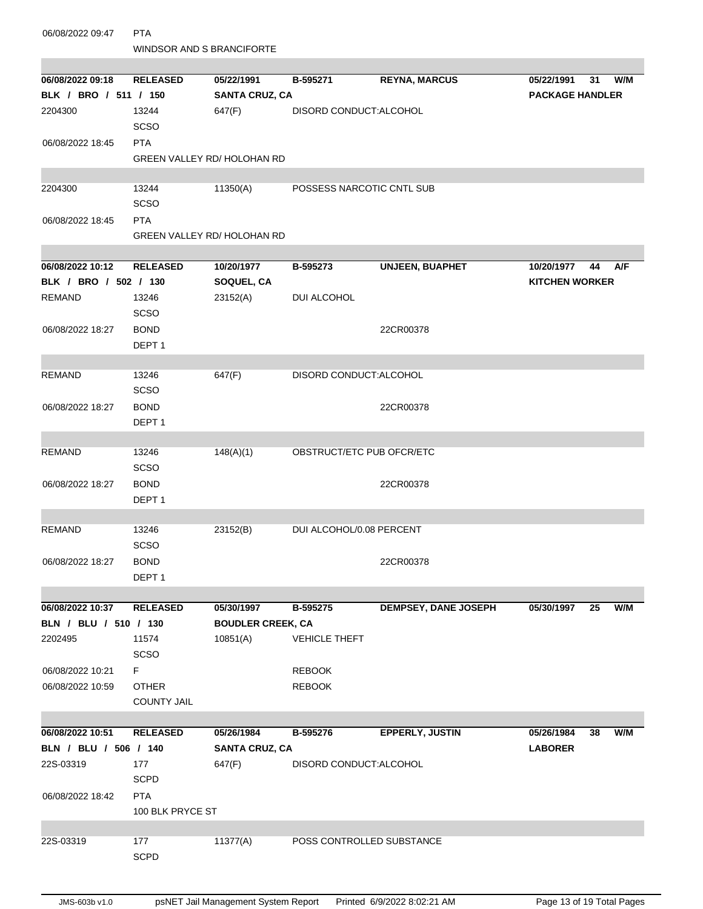| 06/08/2022 09:47      | <b>PTA</b><br><b>WINDSOR AND S BRANCIFORTE</b> |                                    |                           |                             |                        |    |     |  |
|-----------------------|------------------------------------------------|------------------------------------|---------------------------|-----------------------------|------------------------|----|-----|--|
|                       |                                                |                                    |                           |                             |                        |    |     |  |
| 06/08/2022 09:18      | <b>RELEASED</b>                                | 05/22/1991                         | B-595271                  | <b>REYNA, MARCUS</b>        | 05/22/1991             | 31 | W/M |  |
| BLK / BRO / 511 / 150 |                                                | <b>SANTA CRUZ, CA</b>              |                           |                             | <b>PACKAGE HANDLER</b> |    |     |  |
| 2204300               | 13244                                          | 647(F)                             | DISORD CONDUCT: ALCOHOL   |                             |                        |    |     |  |
|                       | <b>SCSO</b>                                    |                                    |                           |                             |                        |    |     |  |
| 06/08/2022 18:45      | <b>PTA</b>                                     |                                    |                           |                             |                        |    |     |  |
|                       |                                                | <b>GREEN VALLEY RD/ HOLOHAN RD</b> |                           |                             |                        |    |     |  |
| 2204300               | 13244                                          | 11350(A)                           | POSSESS NARCOTIC CNTL SUB |                             |                        |    |     |  |
|                       | <b>SCSO</b>                                    |                                    |                           |                             |                        |    |     |  |
| 06/08/2022 18:45      | <b>PTA</b>                                     |                                    |                           |                             |                        |    |     |  |
|                       |                                                | <b>GREEN VALLEY RD/ HOLOHAN RD</b> |                           |                             |                        |    |     |  |
|                       |                                                |                                    |                           |                             |                        |    |     |  |
| 06/08/2022 10:12      | <b>RELEASED</b>                                | 10/20/1977                         | B-595273                  | <b>UNJEEN, BUAPHET</b>      | 10/20/1977             | 44 | A/F |  |
| BLK / BRO / 502 / 130 |                                                | SOQUEL, CA                         |                           |                             | <b>KITCHEN WORKER</b>  |    |     |  |
| <b>REMAND</b>         | 13246                                          | 23152(A)                           | DUI ALCOHOL               |                             |                        |    |     |  |
|                       | <b>SCSO</b>                                    |                                    |                           |                             |                        |    |     |  |
| 06/08/2022 18:27      | <b>BOND</b>                                    |                                    |                           | 22CR00378                   |                        |    |     |  |
|                       | DEPT <sub>1</sub>                              |                                    |                           |                             |                        |    |     |  |
| <b>REMAND</b>         | 13246                                          |                                    | DISORD CONDUCT:ALCOHOL    |                             |                        |    |     |  |
|                       | <b>SCSO</b>                                    | 647(F)                             |                           |                             |                        |    |     |  |
| 06/08/2022 18:27      | <b>BOND</b>                                    |                                    |                           | 22CR00378                   |                        |    |     |  |
|                       | DEPT <sub>1</sub>                              |                                    |                           |                             |                        |    |     |  |
|                       |                                                |                                    |                           |                             |                        |    |     |  |
| <b>REMAND</b>         | 13246                                          | 148(A)(1)                          | OBSTRUCT/ETC PUB OFCR/ETC |                             |                        |    |     |  |
|                       | <b>SCSO</b>                                    |                                    |                           |                             |                        |    |     |  |
| 06/08/2022 18:27      | <b>BOND</b>                                    |                                    |                           | 22CR00378                   |                        |    |     |  |
|                       | DEPT <sub>1</sub>                              |                                    |                           |                             |                        |    |     |  |
|                       |                                                |                                    |                           |                             |                        |    |     |  |
| <b>REMAND</b>         | 13246                                          | 23152(B)                           | DUI ALCOHOL/0.08 PERCENT  |                             |                        |    |     |  |
|                       | SCSO                                           |                                    |                           |                             |                        |    |     |  |
| 06/08/2022 18:27      | <b>BOND</b>                                    |                                    |                           | 22CR00378                   |                        |    |     |  |
|                       | DEPT <sub>1</sub>                              |                                    |                           |                             |                        |    |     |  |
|                       |                                                |                                    |                           |                             |                        |    |     |  |
| 06/08/2022 10:37      | <b>RELEASED</b>                                | 05/30/1997                         | B-595275                  | <b>DEMPSEY, DANE JOSEPH</b> | 05/30/1997             | 25 | W/M |  |
| BLN / BLU / 510 / 130 |                                                | <b>BOUDLER CREEK, CA</b>           |                           |                             |                        |    |     |  |
| 2202495               | 11574                                          | 10851(A)                           | <b>VEHICLE THEFT</b>      |                             |                        |    |     |  |
|                       | SCSO                                           |                                    |                           |                             |                        |    |     |  |
| 06/08/2022 10:21      | F.                                             |                                    | <b>REBOOK</b>             |                             |                        |    |     |  |
| 06/08/2022 10:59      | <b>OTHER</b>                                   |                                    | <b>REBOOK</b>             |                             |                        |    |     |  |
|                       | <b>COUNTY JAIL</b>                             |                                    |                           |                             |                        |    |     |  |
| 06/08/2022 10:51      | <b>RELEASED</b>                                | 05/26/1984                         | B-595276                  | EPPERLY, JUSTIN             | 05/26/1984             | 38 | W/M |  |
| BLN / BLU / 506 / 140 |                                                | <b>SANTA CRUZ, CA</b>              |                           |                             | <b>LABORER</b>         |    |     |  |
| 22S-03319             | 177                                            | 647(F)                             | DISORD CONDUCT:ALCOHOL    |                             |                        |    |     |  |
|                       | <b>SCPD</b>                                    |                                    |                           |                             |                        |    |     |  |
| 06/08/2022 18:42      | <b>PTA</b>                                     |                                    |                           |                             |                        |    |     |  |
|                       | 100 BLK PRYCE ST                               |                                    |                           |                             |                        |    |     |  |
|                       |                                                |                                    |                           |                             |                        |    |     |  |
| 22S-03319             | 177                                            | 11377(A)                           | POSS CONTROLLED SUBSTANCE |                             |                        |    |     |  |
|                       | <b>SCPD</b>                                    |                                    |                           |                             |                        |    |     |  |
|                       |                                                |                                    |                           |                             |                        |    |     |  |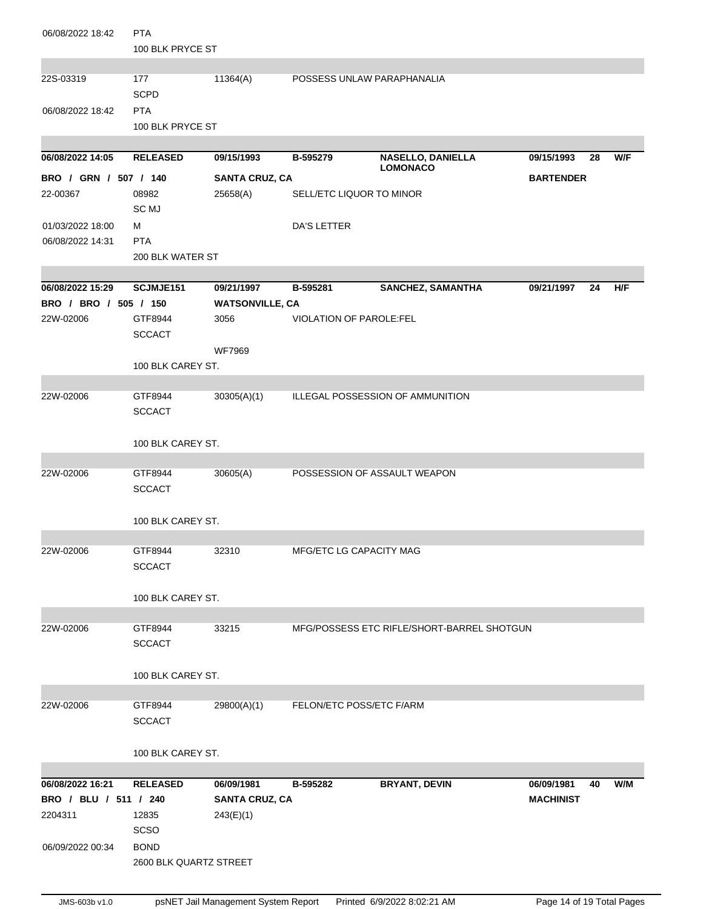| 06/08/2022 18:42      | <b>PTA</b>             |                        |                                |                                             |                  |    |     |
|-----------------------|------------------------|------------------------|--------------------------------|---------------------------------------------|------------------|----|-----|
|                       | 100 BLK PRYCE ST       |                        |                                |                                             |                  |    |     |
| 22S-03319             | 177                    | 11364(A)               | POSSESS UNLAW PARAPHANALIA     |                                             |                  |    |     |
|                       | <b>SCPD</b>            |                        |                                |                                             |                  |    |     |
| 06/08/2022 18:42      | <b>PTA</b>             |                        |                                |                                             |                  |    |     |
|                       | 100 BLK PRYCE ST       |                        |                                |                                             |                  |    |     |
|                       |                        |                        |                                |                                             |                  |    |     |
| 06/08/2022 14:05      | <b>RELEASED</b>        | 09/15/1993             | B-595279                       | <b>NASELLO, DANIELLA</b><br><b>LOMONACO</b> | 09/15/1993       | 28 | W/F |
| BRO / GRN / 507 / 140 |                        | <b>SANTA CRUZ, CA</b>  |                                |                                             | <b>BARTENDER</b> |    |     |
| 22-00367              | 08982                  | 25658(A)               | SELL/ETC LIQUOR TO MINOR       |                                             |                  |    |     |
|                       | <b>SC MJ</b>           |                        |                                |                                             |                  |    |     |
| 01/03/2022 18:00      | м                      |                        | DA'S LETTER                    |                                             |                  |    |     |
| 06/08/2022 14:31      | <b>PTA</b>             |                        |                                |                                             |                  |    |     |
|                       | 200 BLK WATER ST       |                        |                                |                                             |                  |    |     |
| 06/08/2022 15:29      | SCJMJE151              | 09/21/1997             | B-595281                       | <b>SANCHEZ, SAMANTHA</b>                    | 09/21/1997       | 24 | H/F |
| BRO / BRO / 505 / 150 |                        | <b>WATSONVILLE, CA</b> |                                |                                             |                  |    |     |
| 22W-02006             | GTF8944                | 3056                   | <b>VIOLATION OF PAROLE:FEL</b> |                                             |                  |    |     |
|                       | <b>SCCACT</b>          |                        |                                |                                             |                  |    |     |
|                       |                        | <b>WF7969</b>          |                                |                                             |                  |    |     |
|                       | 100 BLK CAREY ST.      |                        |                                |                                             |                  |    |     |
|                       |                        |                        |                                |                                             |                  |    |     |
| 22W-02006             | GTF8944                | 30305(A)(1)            |                                | ILLEGAL POSSESSION OF AMMUNITION            |                  |    |     |
|                       | <b>SCCACT</b>          |                        |                                |                                             |                  |    |     |
|                       |                        |                        |                                |                                             |                  |    |     |
|                       | 100 BLK CAREY ST.      |                        |                                |                                             |                  |    |     |
|                       |                        |                        |                                |                                             |                  |    |     |
| 22W-02006             | GTF8944                | 30605(A)               | POSSESSION OF ASSAULT WEAPON   |                                             |                  |    |     |
|                       | <b>SCCACT</b>          |                        |                                |                                             |                  |    |     |
|                       | 100 BLK CAREY ST.      |                        |                                |                                             |                  |    |     |
|                       |                        |                        |                                |                                             |                  |    |     |
| 22W-02006             | GTF8944                | 32310                  | MFG/ETC LG CAPACITY MAG        |                                             |                  |    |     |
|                       | <b>SCCACT</b>          |                        |                                |                                             |                  |    |     |
|                       |                        |                        |                                |                                             |                  |    |     |
|                       | 100 BLK CAREY ST.      |                        |                                |                                             |                  |    |     |
|                       |                        |                        |                                |                                             |                  |    |     |
| 22W-02006             | GTF8944                | 33215                  |                                | MFG/POSSESS ETC RIFLE/SHORT-BARREL SHOTGUN  |                  |    |     |
|                       | <b>SCCACT</b>          |                        |                                |                                             |                  |    |     |
|                       |                        |                        |                                |                                             |                  |    |     |
|                       | 100 BLK CAREY ST.      |                        |                                |                                             |                  |    |     |
| 22W-02006             | GTF8944                | 29800(A)(1)            | FELON/ETC POSS/ETC F/ARM       |                                             |                  |    |     |
|                       | <b>SCCACT</b>          |                        |                                |                                             |                  |    |     |
|                       |                        |                        |                                |                                             |                  |    |     |
|                       | 100 BLK CAREY ST.      |                        |                                |                                             |                  |    |     |
|                       |                        |                        |                                |                                             |                  |    |     |
| 06/08/2022 16:21      | <b>RELEASED</b>        | 06/09/1981             | B-595282                       | <b>BRYANT, DEVIN</b>                        | 06/09/1981       | 40 | W/M |
| BRO / BLU / 511 / 240 |                        | <b>SANTA CRUZ, CA</b>  |                                |                                             | <b>MACHINIST</b> |    |     |
| 2204311               | 12835                  | 243(E)(1)              |                                |                                             |                  |    |     |
|                       | SCSO                   |                        |                                |                                             |                  |    |     |
| 06/09/2022 00:34      | <b>BOND</b>            |                        |                                |                                             |                  |    |     |
|                       | 2600 BLK QUARTZ STREET |                        |                                |                                             |                  |    |     |
|                       |                        |                        |                                |                                             |                  |    |     |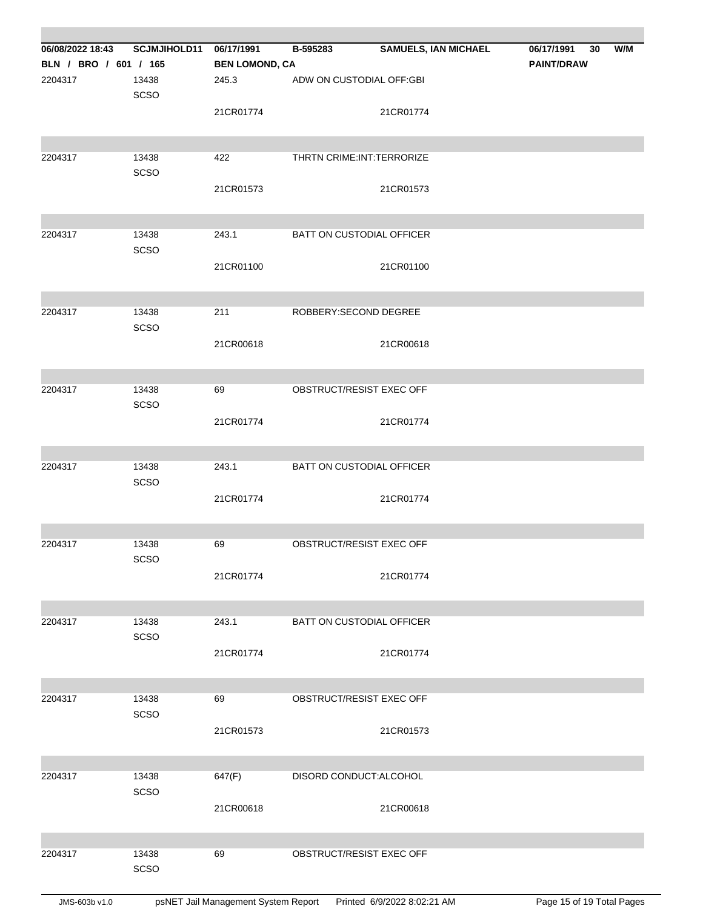| 06/08/2022 18:43      | <b>SCJMJIHOLD11</b> | 06/17/1991            | B-595283                         | <b>SAMUELS, IAN MICHAEL</b> | 06/17/1991<br>30  | W/M |
|-----------------------|---------------------|-----------------------|----------------------------------|-----------------------------|-------------------|-----|
|                       |                     |                       |                                  |                             |                   |     |
| BLN / BRO / 601 / 165 |                     | <b>BEN LOMOND, CA</b> |                                  |                             | <b>PAINT/DRAW</b> |     |
| 2204317               | 13438<br>SCSO       | 245.3                 | ADW ON CUSTODIAL OFF:GBI         |                             |                   |     |
|                       |                     | 21CR01774             |                                  | 21CR01774                   |                   |     |
| 2204317               | 13438               | 422                   | THRTN CRIME: INT: TERRORIZE      |                             |                   |     |
|                       | SCSO                |                       |                                  |                             |                   |     |
|                       |                     | 21CR01573             |                                  | 21CR01573                   |                   |     |
| 2204317               | 13438<br>SCSO       | 243.1                 | <b>BATT ON CUSTODIAL OFFICER</b> |                             |                   |     |
|                       |                     | 21CR01100             |                                  | 21CR01100                   |                   |     |
| 2204317               | 13438               | 211                   | ROBBERY: SECOND DEGREE           |                             |                   |     |
|                       | SCSO                |                       |                                  |                             |                   |     |
|                       |                     | 21CR00618             |                                  | 21CR00618                   |                   |     |
| 2204317               | 13438               | 69                    | OBSTRUCT/RESIST EXEC OFF         |                             |                   |     |
|                       | SCSO                |                       |                                  |                             |                   |     |
|                       |                     | 21CR01774             |                                  | 21CR01774                   |                   |     |
| 2204317               | 13438               | 243.1                 | BATT ON CUSTODIAL OFFICER        |                             |                   |     |
|                       | SCSO                |                       |                                  |                             |                   |     |
|                       |                     | 21CR01774             |                                  | 21CR01774                   |                   |     |
| 2204317               | 13438               | 69                    | OBSTRUCT/RESIST EXEC OFF         |                             |                   |     |
|                       | SCSO                |                       |                                  | 21CR01774                   |                   |     |
|                       |                     | 21CR01774             |                                  |                             |                   |     |
| 2204317               | 13438               | 243.1                 | BATT ON CUSTODIAL OFFICER        |                             |                   |     |
|                       | SCSO                | 21CR01774             |                                  | 21CR01774                   |                   |     |
|                       |                     |                       |                                  |                             |                   |     |
| 2204317               | 13438               | 69                    | OBSTRUCT/RESIST EXEC OFF         |                             |                   |     |
|                       | SCSO                | 21CR01573             |                                  | 21CR01573                   |                   |     |
|                       |                     |                       |                                  |                             |                   |     |
| 2204317               | 13438               | 647(F)                | DISORD CONDUCT:ALCOHOL           |                             |                   |     |
|                       | SCSO                |                       |                                  |                             |                   |     |
|                       |                     | 21CR00618             |                                  | 21CR00618                   |                   |     |
|                       |                     |                       |                                  |                             |                   |     |
| 2204317               | 13438               | 69                    | OBSTRUCT/RESIST EXEC OFF         |                             |                   |     |
|                       | SCSO                |                       |                                  |                             |                   |     |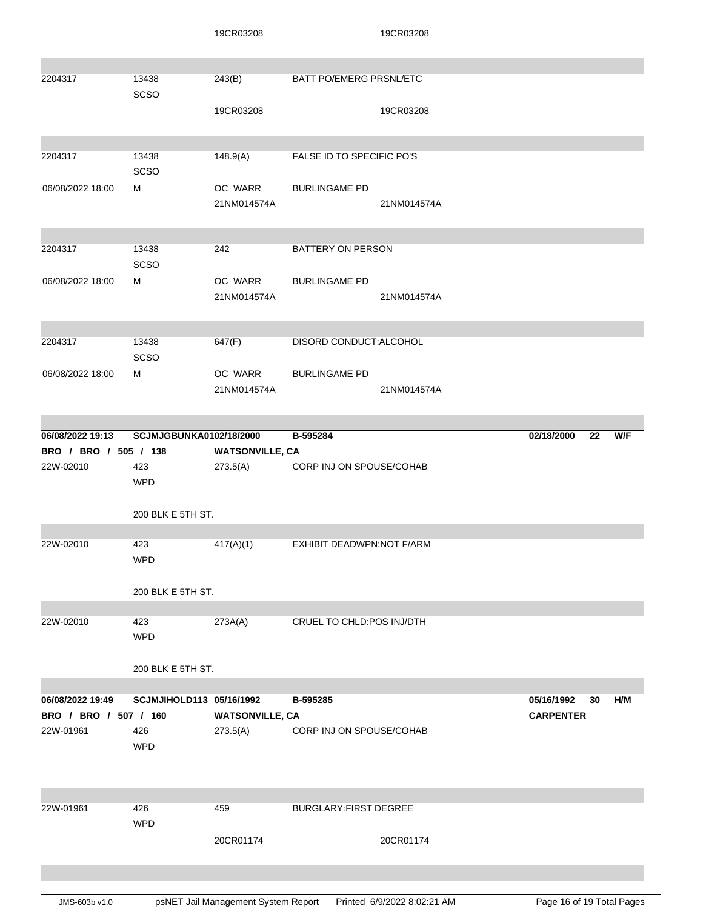|                       |                          | 19CR03208              |                                | 19CR03208   |                  |     |
|-----------------------|--------------------------|------------------------|--------------------------------|-------------|------------------|-----|
| 2204317               | 13438<br>SCSO            | 243(B)                 | <b>BATT PO/EMERG PRSNL/ETC</b> |             |                  |     |
|                       |                          | 19CR03208              |                                | 19CR03208   |                  |     |
| 2204317               | 13438<br>SCSO            | 148.9(A)               | FALSE ID TO SPECIFIC PO'S      |             |                  |     |
| 06/08/2022 18:00      | м                        | OC WARR<br>21NM014574A | <b>BURLINGAME PD</b>           | 21NM014574A |                  |     |
| 2204317               | 13438<br>SCSO            | 242                    | BATTERY ON PERSON              |             |                  |     |
| 06/08/2022 18:00      | м                        | OC WARR<br>21NM014574A | <b>BURLINGAME PD</b>           | 21NM014574A |                  |     |
| 2204317               | 13438<br>SCSO            | 647(F)                 | DISORD CONDUCT: ALCOHOL        |             |                  |     |
| 06/08/2022 18:00      | м                        | OC WARR<br>21NM014574A | <b>BURLINGAME PD</b>           | 21NM014574A |                  |     |
| 06/08/2022 19:13      | SCJMJGBUNKA0102/18/2000  |                        | B-595284                       |             | 02/18/2000<br>22 | W/F |
| BRO / BRO / 505 / 138 |                          | <b>WATSONVILLE, CA</b> |                                |             |                  |     |
| 22W-02010             | 423<br><b>WPD</b>        | 273.5(A)               | CORP INJ ON SPOUSE/COHAB       |             |                  |     |
|                       | 200 BLK E 5TH ST.        |                        |                                |             |                  |     |
|                       |                          |                        |                                |             |                  |     |
| 22W-02010             | 423<br><b>WPD</b>        | 417(A)(1)              | EXHIBIT DEADWPN:NOT F/ARM      |             |                  |     |
|                       | 200 BLK E 5TH ST.        |                        |                                |             |                  |     |
| 22W-02010             | 423<br><b>WPD</b>        | 273A(A)                | CRUEL TO CHLD:POS INJ/DTH      |             |                  |     |
|                       | 200 BLK E 5TH ST.        |                        |                                |             |                  |     |
| 06/08/2022 19:49      | SCJMJIHOLD113 05/16/1992 |                        | B-595285                       |             | 05/16/1992<br>30 | H/M |
| BRO / BRO / 507 / 160 |                          | <b>WATSONVILLE, CA</b> |                                |             | <b>CARPENTER</b> |     |
| 22W-01961             | 426<br><b>WPD</b>        | 273.5(A)               | CORP INJ ON SPOUSE/COHAB       |             |                  |     |
|                       |                          |                        |                                |             |                  |     |
| 22W-01961             | 426<br><b>WPD</b>        | 459                    | BURGLARY: FIRST DEGREE         |             |                  |     |
|                       |                          | 20CR01174              |                                | 20CR01174   |                  |     |
|                       |                          |                        |                                |             |                  |     |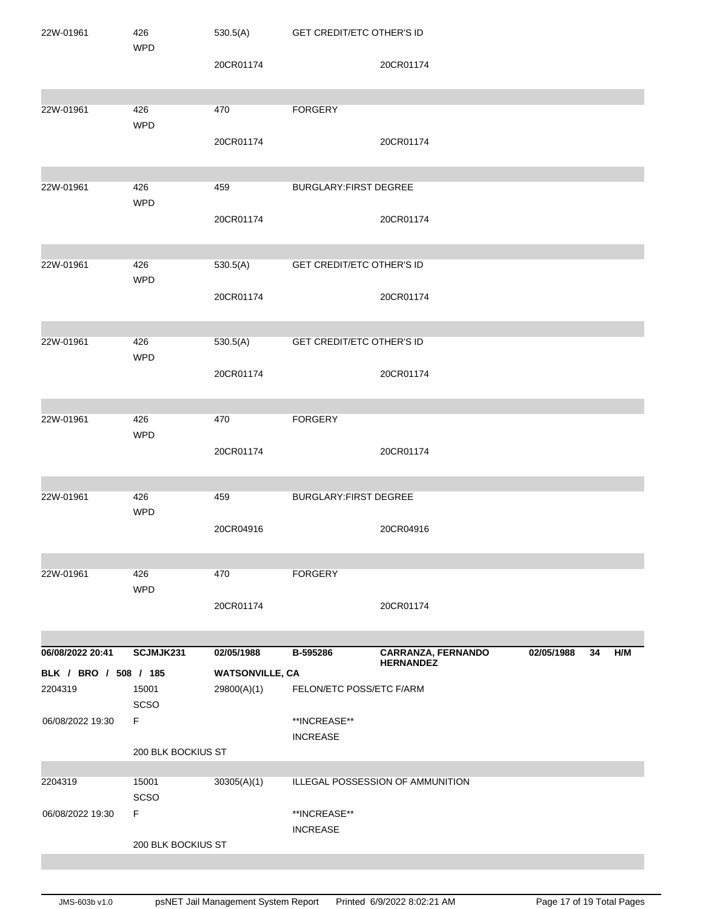| 22W-01961             | 426                | 530.5(A)               | <b>GET CREDIT/ETC OTHER'S ID</b> |                                  |            |    |     |
|-----------------------|--------------------|------------------------|----------------------------------|----------------------------------|------------|----|-----|
|                       | <b>WPD</b>         | 20CR01174              |                                  | 20CR01174                        |            |    |     |
| 22W-01961             | 426                | 470                    | <b>FORGERY</b>                   |                                  |            |    |     |
|                       | <b>WPD</b>         | 20CR01174              |                                  | 20CR01174                        |            |    |     |
| 22W-01961             | 426                | 459                    | BURGLARY: FIRST DEGREE           |                                  |            |    |     |
|                       | <b>WPD</b>         |                        |                                  |                                  |            |    |     |
|                       |                    | 20CR01174              |                                  | 20CR01174                        |            |    |     |
| 22W-01961             | 426                | 530.5(A)               | GET CREDIT/ETC OTHER'S ID        |                                  |            |    |     |
|                       | <b>WPD</b>         | 20CR01174              |                                  | 20CR01174                        |            |    |     |
|                       |                    |                        |                                  |                                  |            |    |     |
| 22W-01961             | 426<br><b>WPD</b>  | 530.5(A)               | <b>GET CREDIT/ETC OTHER'S ID</b> |                                  |            |    |     |
|                       |                    | 20CR01174              |                                  | 20CR01174                        |            |    |     |
| 22W-01961             | 426                | 470                    | <b>FORGERY</b>                   |                                  |            |    |     |
|                       | <b>WPD</b>         |                        |                                  |                                  |            |    |     |
|                       |                    | 20CR01174              |                                  | 20CR01174                        |            |    |     |
| 22W-01961             | 426                | 459                    | <b>BURGLARY:FIRST DEGREE</b>     |                                  |            |    |     |
|                       | <b>WPD</b>         | 20CR04916              |                                  | 20CR04916                        |            |    |     |
| 22W-01961             | 426                | 470                    | <b>FORGERY</b>                   |                                  |            |    |     |
|                       | <b>WPD</b>         |                        |                                  |                                  |            |    |     |
|                       |                    | 20CR01174              |                                  | 20CR01174                        |            |    |     |
| 06/08/2022 20:41      | SCJMJK231          | 02/05/1988             | B-595286                         | <b>CARRANZA, FERNANDO</b>        | 02/05/1988 | 34 | H/M |
| BLK / BRO / 508 / 185 |                    | <b>WATSONVILLE, CA</b> |                                  | <b>HERNANDEZ</b>                 |            |    |     |
| 2204319               | 15001              | 29800(A)(1)            | FELON/ETC POSS/ETC F/ARM         |                                  |            |    |     |
| 06/08/2022 19:30      | SCSO<br>F          |                        | **INCREASE**                     |                                  |            |    |     |
|                       |                    |                        | <b>INCREASE</b>                  |                                  |            |    |     |
|                       | 200 BLK BOCKIUS ST |                        |                                  |                                  |            |    |     |
| 2204319               | 15001<br>SCSO      | 30305(A)(1)            |                                  | ILLEGAL POSSESSION OF AMMUNITION |            |    |     |
| 06/08/2022 19:30      | F                  |                        | **INCREASE**<br><b>INCREASE</b>  |                                  |            |    |     |
|                       | 200 BLK BOCKIUS ST |                        |                                  |                                  |            |    |     |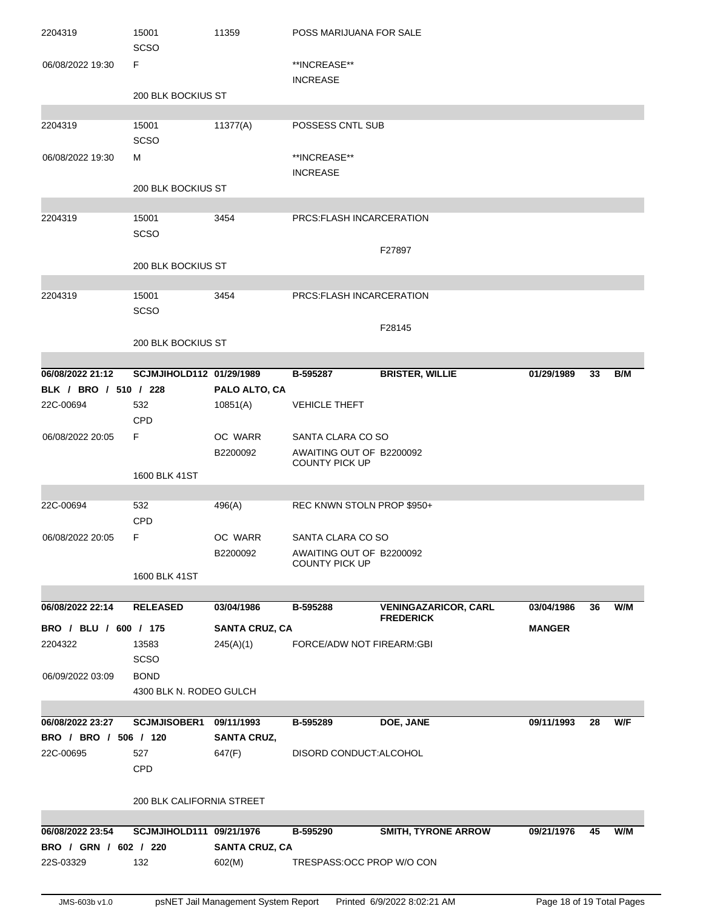| 2204319               | 15001<br>SCSO             | 11359                 | POSS MARIJUANA FOR SALE         |                             |               |    |     |
|-----------------------|---------------------------|-----------------------|---------------------------------|-----------------------------|---------------|----|-----|
| 06/08/2022 19:30      | F                         |                       | **INCREASE**<br><b>INCREASE</b> |                             |               |    |     |
|                       | 200 BLK BOCKIUS ST        |                       |                                 |                             |               |    |     |
|                       |                           |                       |                                 |                             |               |    |     |
| 2204319               | 15001<br>SCSO             | 11377(A)              | POSSESS CNTL SUB                |                             |               |    |     |
| 06/08/2022 19:30      | м                         |                       | **INCREASE**                    |                             |               |    |     |
|                       |                           |                       | <b>INCREASE</b>                 |                             |               |    |     |
|                       | 200 BLK BOCKIUS ST        |                       |                                 |                             |               |    |     |
|                       |                           |                       |                                 |                             |               |    |     |
| 2204319               | 15001                     | 3454                  | PRCS: FLASH INCARCERATION       |                             |               |    |     |
|                       | SCSO                      |                       |                                 |                             |               |    |     |
|                       |                           |                       |                                 | F27897                      |               |    |     |
|                       | 200 BLK BOCKIUS ST        |                       |                                 |                             |               |    |     |
| 2204319               | 15001                     | 3454                  | PRCS: FLASH INCARCERATION       |                             |               |    |     |
|                       | SCSO                      |                       |                                 |                             |               |    |     |
|                       |                           |                       |                                 | F28145                      |               |    |     |
|                       | 200 BLK BOCKIUS ST        |                       |                                 |                             |               |    |     |
|                       |                           |                       |                                 |                             |               |    |     |
| 06/08/2022 21:12      | SCJMJIHOLD112 01/29/1989  |                       | B-595287                        | <b>BRISTER, WILLIE</b>      | 01/29/1989    | 33 | B/M |
| BLK / BRO / 510 / 228 |                           | PALO ALTO, CA         |                                 |                             |               |    |     |
| 22C-00694             | 532                       | 10851(A)              | <b>VEHICLE THEFT</b>            |                             |               |    |     |
|                       | <b>CPD</b>                |                       |                                 |                             |               |    |     |
| 06/08/2022 20:05      | F                         | OC WARR               | SANTA CLARA CO SO               |                             |               |    |     |
|                       |                           | B2200092              | AWAITING OUT OF B2200092        |                             |               |    |     |
|                       | 1600 BLK 41ST             |                       | <b>COUNTY PICK UP</b>           |                             |               |    |     |
|                       |                           |                       |                                 |                             |               |    |     |
| 22C-00694             | 532                       | 496(A)                | REC KNWN STOLN PROP \$950+      |                             |               |    |     |
|                       | CPD                       |                       |                                 |                             |               |    |     |
| 06/08/2022 20:05      | F.                        | OC WARR               | SANTA CLARA CO SO               |                             |               |    |     |
|                       |                           | B2200092              | AWAITING OUT OF B2200092        |                             |               |    |     |
|                       | 1600 BLK 41ST             |                       | <b>COUNTY PICK UP</b>           |                             |               |    |     |
|                       |                           |                       |                                 |                             |               |    |     |
| 06/08/2022 22:14      | <b>RELEASED</b>           | 03/04/1986            | B-595288                        | <b>VENINGAZARICOR, CARL</b> | 03/04/1986    | 36 | W/M |
| BRO / BLU / 600 / 175 |                           |                       |                                 | <b>FREDERICK</b>            |               |    |     |
| 2204322               |                           | <b>SANTA CRUZ, CA</b> | FORCE/ADW NOT FIREARM:GBI       |                             | <b>MANGER</b> |    |     |
|                       | 13583<br><b>SCSO</b>      | 245(A)(1)             |                                 |                             |               |    |     |
| 06/09/2022 03:09      | <b>BOND</b>               |                       |                                 |                             |               |    |     |
|                       | 4300 BLK N. RODEO GULCH   |                       |                                 |                             |               |    |     |
|                       |                           |                       |                                 |                             |               |    |     |
| 06/08/2022 23:27      | <b>SCJMJISOBER1</b>       | 09/11/1993            | B-595289                        | DOE, JANE                   | 09/11/1993    | 28 | W/F |
| BRO / BRO / 506 / 120 |                           | <b>SANTA CRUZ,</b>    |                                 |                             |               |    |     |
| 22C-00695             | 527                       | 647(F)                | DISORD CONDUCT: ALCOHOL         |                             |               |    |     |
|                       | <b>CPD</b>                |                       |                                 |                             |               |    |     |
|                       |                           |                       |                                 |                             |               |    |     |
|                       | 200 BLK CALIFORNIA STREET |                       |                                 |                             |               |    |     |
|                       |                           |                       |                                 |                             |               |    |     |
| 06/08/2022 23:54      | SCJMJIHOLD111 09/21/1976  |                       | B-595290                        | <b>SMITH, TYRONE ARROW</b>  | 09/21/1976    | 45 | W/M |
| BRO / GRN / 602 / 220 |                           | <b>SANTA CRUZ, CA</b> |                                 |                             |               |    |     |
| 22S-03329             | 132                       | 602(M)                | TRESPASS: OCC PROP W/O CON      |                             |               |    |     |
|                       |                           |                       |                                 |                             |               |    |     |